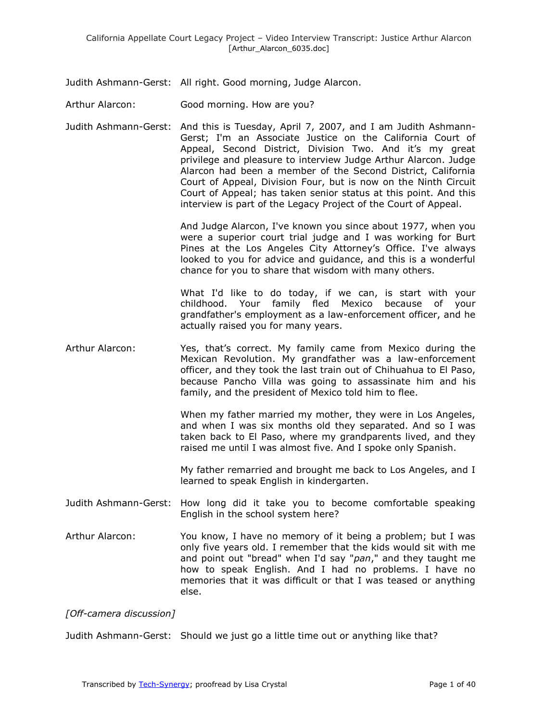Judith Ashmann-Gerst: All right. Good morning, Judge Alarcon.

Arthur Alarcon: Good morning. How are you?

Judith Ashmann-Gerst: And this is Tuesday, April 7, 2007, and I am Judith Ashmann-Gerst; I'm an Associate Justice on the California Court of Appeal, Second District, Division Two. And it's my great privilege and pleasure to interview Judge Arthur Alarcon. Judge Alarcon had been a member of the Second District, California Court of Appeal, Division Four, but is now on the Ninth Circuit Court of Appeal; has taken senior status at this point. And this interview is part of the Legacy Project of the Court of Appeal.

> And Judge Alarcon, I've known you since about 1977, when you were a superior court trial judge and I was working for Burt Pines at the Los Angeles City Attorney's Office. I've always looked to you for advice and guidance, and this is a wonderful chance for you to share that wisdom with many others.

> What I'd like to do today, if we can, is start with your childhood. Your family fled Mexico because of your grandfather's employment as a law-enforcement officer, and he actually raised you for many years.

Arthur Alarcon: Yes, that's correct. My family came from Mexico during the Mexican Revolution. My grandfather was a law-enforcement officer, and they took the last train out of Chihuahua to El Paso, because Pancho Villa was going to assassinate him and his family, and the president of Mexico told him to flee.

> When my father married my mother, they were in Los Angeles, and when I was six months old they separated. And so I was taken back to El Paso, where my grandparents lived, and they raised me until I was almost five. And I spoke only Spanish.

> My father remarried and brought me back to Los Angeles, and I learned to speak English in kindergarten.

- Judith Ashmann-Gerst: How long did it take you to become comfortable speaking English in the school system here?
- Arthur Alarcon: You know, I have no memory of it being a problem; but I was only five years old. I remember that the kids would sit with me and point out "bread" when I'd say "*pan*," and they taught me how to speak English. And I had no problems. I have no memories that it was difficult or that I was teased or anything else.

*[Off-camera discussion]*

Judith Ashmann-Gerst: Should we just go a little time out or anything like that?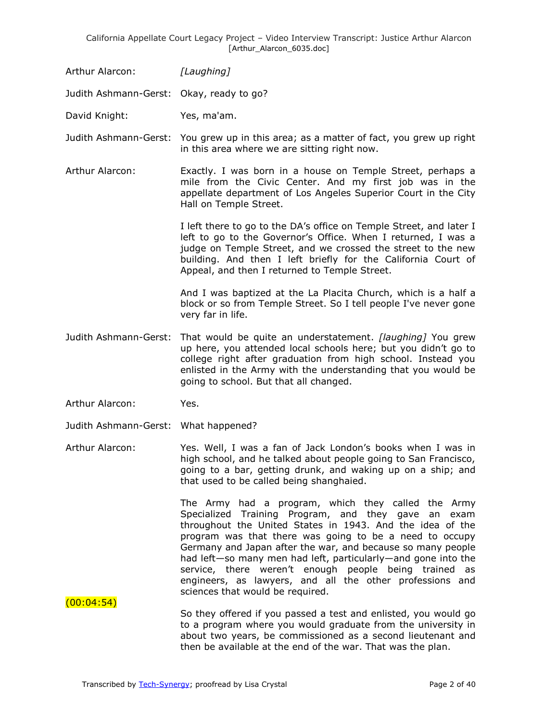Arthur Alarcon: *[Laughing]*

Judith Ashmann-Gerst: Okay, ready to go?

David Knight: Yes, ma'am.

Judith Ashmann-Gerst: You grew up in this area; as a matter of fact, you grew up right in this area where we are sitting right now.

Arthur Alarcon: Exactly. I was born in a house on Temple Street, perhaps a mile from the Civic Center. And my first job was in the appellate department of Los Angeles Superior Court in the City Hall on Temple Street.

> I left there to go to the DA's office on Temple Street, and later I left to go to the Governor's Office. When I returned, I was a judge on Temple Street, and we crossed the street to the new building. And then I left briefly for the California Court of Appeal, and then I returned to Temple Street.

> And I was baptized at the La Placita Church, which is a half a block or so from Temple Street. So I tell people I've never gone very far in life.

Judith Ashmann-Gerst: That would be quite an understatement. *[laughing]* You grew up here, you attended local schools here; but you didn't go to college right after graduation from high school. Instead you enlisted in the Army with the understanding that you would be going to school. But that all changed.

Arthur Alarcon: Yes.

Judith Ashmann-Gerst: What happened?

Arthur Alarcon: Yes. Well, I was a fan of Jack London's books when I was in high school, and he talked about people going to San Francisco, going to a bar, getting drunk, and waking up on a ship; and that used to be called being shanghaied.

> The Army had a program, which they called the Army Specialized Training Program, and they gave an exam throughout the United States in 1943. And the idea of the program was that there was going to be a need to occupy Germany and Japan after the war, and because so many people had left—so many men had left, particularly—and gone into the service, there weren't enough people being trained as engineers, as lawyers, and all the other professions and sciences that would be required.

 $(00:04:54)$ 

So they offered if you passed a test and enlisted, you would go to a program where you would graduate from the university in about two years, be commissioned as a second lieutenant and then be available at the end of the war. That was the plan.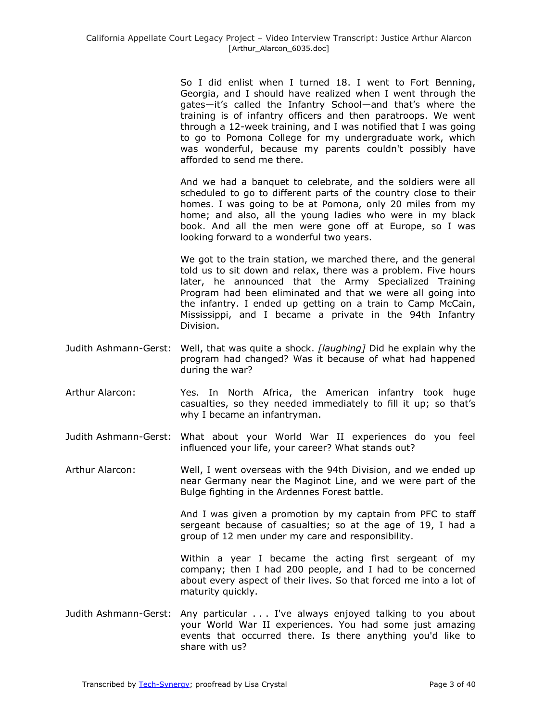So I did enlist when I turned 18. I went to Fort Benning, Georgia, and I should have realized when I went through the gates—it's called the Infantry School—and that's where the training is of infantry officers and then paratroops. We went through a 12-week training, and I was notified that I was going to go to Pomona College for my undergraduate work, which was wonderful, because my parents couldn't possibly have afforded to send me there.

And we had a banquet to celebrate, and the soldiers were all scheduled to go to different parts of the country close to their homes. I was going to be at Pomona, only 20 miles from my home; and also, all the young ladies who were in my black book. And all the men were gone off at Europe, so I was looking forward to a wonderful two years.

We got to the train station, we marched there, and the general told us to sit down and relax, there was a problem. Five hours later, he announced that the Army Specialized Training Program had been eliminated and that we were all going into the infantry. I ended up getting on a train to Camp McCain, Mississippi, and I became a private in the 94th Infantry Division.

- Judith Ashmann-Gerst: Well, that was quite a shock. *[laughing]* Did he explain why the program had changed? Was it because of what had happened during the war?
- Arthur Alarcon: Yes. In North Africa, the American infantry took huge casualties, so they needed immediately to fill it up; so that's why I became an infantryman.
- Judith Ashmann-Gerst: What about your World War II experiences do you feel influenced your life, your career? What stands out?
- Arthur Alarcon: Well, I went overseas with the 94th Division, and we ended up near Germany near the Maginot Line, and we were part of the Bulge fighting in the Ardennes Forest battle.

And I was given a promotion by my captain from PFC to staff sergeant because of casualties; so at the age of 19, I had a group of 12 men under my care and responsibility.

Within a year I became the acting first sergeant of my company; then I had 200 people, and I had to be concerned about every aspect of their lives. So that forced me into a lot of maturity quickly.

Judith Ashmann-Gerst: Any particular . . . I've always enjoyed talking to you about your World War II experiences. You had some just amazing events that occurred there. Is there anything you'd like to share with us?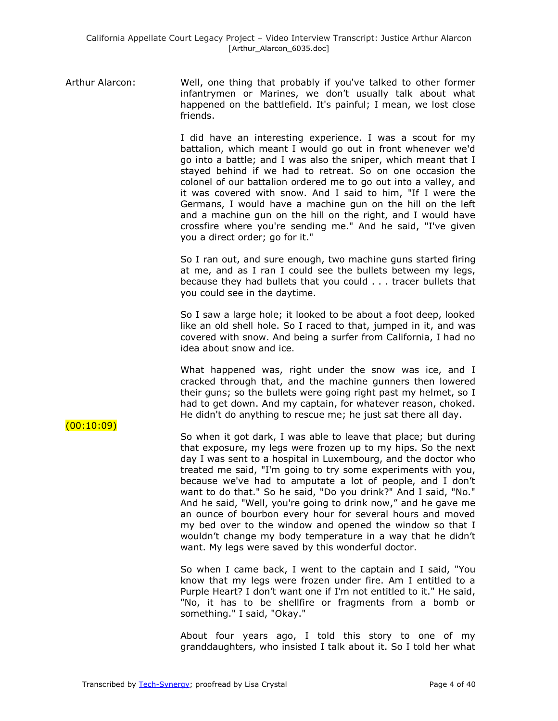Arthur Alarcon: Well, one thing that probably if you've talked to other former infantrymen or Marines, we don't usually talk about what happened on the battlefield. It's painful; I mean, we lost close friends.

> I did have an interesting experience. I was a scout for my battalion, which meant I would go out in front whenever we'd go into a battle; and I was also the sniper, which meant that I stayed behind if we had to retreat. So on one occasion the colonel of our battalion ordered me to go out into a valley, and it was covered with snow. And I said to him, "If I were the Germans, I would have a machine gun on the hill on the left and a machine gun on the hill on the right, and I would have crossfire where you're sending me." And he said, "I've given you a direct order; go for it."

> So I ran out, and sure enough, two machine guns started firing at me, and as I ran I could see the bullets between my legs, because they had bullets that you could . . . tracer bullets that you could see in the daytime.

> So I saw a large hole; it looked to be about a foot deep, looked like an old shell hole. So I raced to that, jumped in it, and was covered with snow. And being a surfer from California, I had no idea about snow and ice.

> What happened was, right under the snow was ice, and I cracked through that, and the machine gunners then lowered their guns; so the bullets were going right past my helmet, so I had to get down. And my captain, for whatever reason, choked. He didn't do anything to rescue me; he just sat there all day.

> So when it got dark, I was able to leave that place; but during that exposure, my legs were frozen up to my hips. So the next day I was sent to a hospital in Luxembourg, and the doctor who treated me said, "I'm going to try some experiments with you, because we've had to amputate a lot of people, and I don't want to do that." So he said, "Do you drink?" And I said, "No." And he said, "Well, you're going to drink now," and he gave me an ounce of bourbon every hour for several hours and moved my bed over to the window and opened the window so that I wouldn't change my body temperature in a way that he didn't want. My legs were saved by this wonderful doctor.

> So when I came back, I went to the captain and I said, "You know that my legs were frozen under fire. Am I entitled to a Purple Heart? I don't want one if I'm not entitled to it." He said, "No, it has to be shellfire or fragments from a bomb or something." I said, "Okay."

> About four years ago, I told this story to one of my granddaughters, who insisted I talk about it. So I told her what

## $(00:10:09)$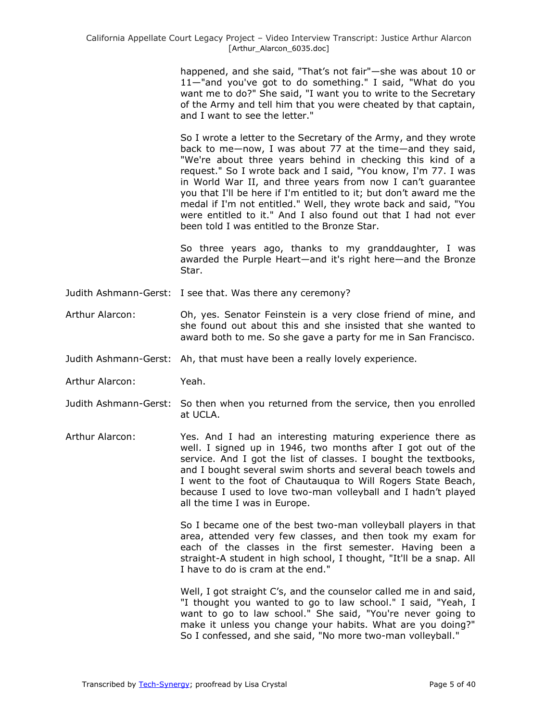happened, and she said, "That's not fair"—she was about 10 or 11—"and you've got to do something." I said, "What do you want me to do?" She said, "I want you to write to the Secretary of the Army and tell him that you were cheated by that captain, and I want to see the letter."

So I wrote a letter to the Secretary of the Army, and they wrote back to me—now, I was about 77 at the time—and they said, "We're about three years behind in checking this kind of a request." So I wrote back and I said, "You know, I'm 77. I was in World War II, and three years from now I can't guarantee you that I'll be here if I'm entitled to it; but don't award me the medal if I'm not entitled." Well, they wrote back and said, "You were entitled to it." And I also found out that I had not ever been told I was entitled to the Bronze Star.

So three years ago, thanks to my granddaughter, I was awarded the Purple Heart—and it's right here—and the Bronze Star.

- Judith Ashmann-Gerst: I see that. Was there any ceremony?
- Arthur Alarcon: Oh, yes. Senator Feinstein is a very close friend of mine, and she found out about this and she insisted that she wanted to award both to me. So she gave a party for me in San Francisco.
- Judith Ashmann-Gerst: Ah, that must have been a really lovely experience.
- Arthur Alarcon: Yeah.
- Judith Ashmann-Gerst: So then when you returned from the service, then you enrolled at UCLA.
- Arthur Alarcon: Yes. And I had an interesting maturing experience there as well. I signed up in 1946, two months after I got out of the service. And I got the list of classes. I bought the textbooks, and I bought several swim shorts and several beach towels and I went to the foot of Chautauqua to Will Rogers State Beach, because I used to love two-man volleyball and I hadn't played all the time I was in Europe.

So I became one of the best two-man volleyball players in that area, attended very few classes, and then took my exam for each of the classes in the first semester. Having been a straight-A student in high school, I thought, "It'll be a snap. All I have to do is cram at the end."

Well, I got straight C's, and the counselor called me in and said, "I thought you wanted to go to law school." I said, "Yeah, I want to go to law school." She said, "You're never going to make it unless you change your habits. What are you doing?" So I confessed, and she said, "No more two-man volleyball."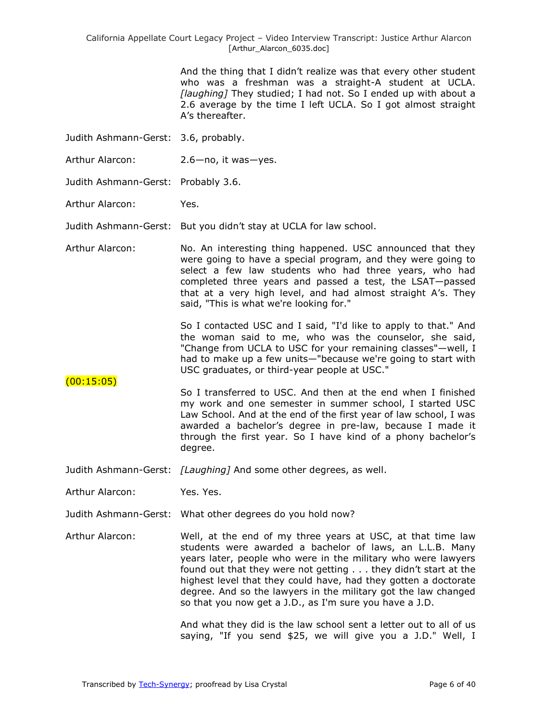And the thing that I didn't realize was that every other student who was a freshman was a straight-A student at UCLA. *[laughing]* They studied; I had not. So I ended up with about a 2.6 average by the time I left UCLA. So I got almost straight A's thereafter.

- Judith Ashmann-Gerst: 3.6, probably.
- Arthur Alarcon: 2.6-no, it was-yes.
- Judith Ashmann-Gerst: Probably 3.6.
- Arthur Alarcon: Yes.

Judith Ashmann-Gerst: But you didn't stay at UCLA for law school.

Arthur Alarcon: No. An interesting thing happened. USC announced that they were going to have a special program, and they were going to select a few law students who had three years, who had completed three years and passed a test, the LSAT—passed that at a very high level, and had almost straight A's. They said, "This is what we're looking for."

> So I contacted USC and I said, "I'd like to apply to that." And the woman said to me, who was the counselor, she said, "Change from UCLA to USC for your remaining classes"—well, I had to make up a few units—"because we're going to start with USC graduates, or third-year people at USC."

- $(00:15:05)$ So I transferred to USC. And then at the end when I finished my work and one semester in summer school, I started USC Law School. And at the end of the first year of law school, I was awarded a bachelor's degree in pre-law, because I made it through the first year. So I have kind of a phony bachelor's degree.
- Judith Ashmann-Gerst: *[Laughing]* And some other degrees, as well.
- Arthur Alarcon: Yes. Yes.
- Judith Ashmann-Gerst: What other degrees do you hold now?
- Arthur Alarcon: Well, at the end of my three years at USC, at that time law students were awarded a bachelor of laws, an L.L.B. Many years later, people who were in the military who were lawyers found out that they were not getting . . . they didn't start at the highest level that they could have, had they gotten a doctorate degree. And so the lawyers in the military got the law changed so that you now get a J.D., as I'm sure you have a J.D.

And what they did is the law school sent a letter out to all of us saying, "If you send \$25, we will give you a J.D." Well, I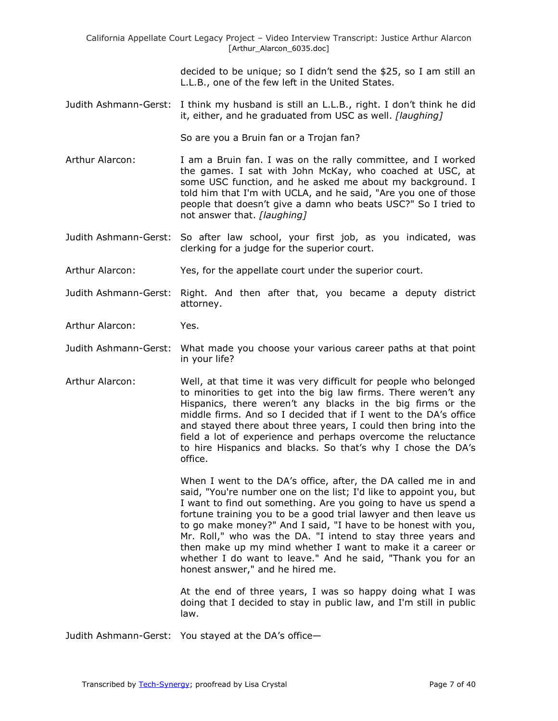California Appellate Court Legacy Project – Video Interview Transcript: Justice Arthur Alarcon [Arthur\_Alarcon\_6035.doc]

> decided to be unique; so I didn't send the \$25, so I am still an L.L.B., one of the few left in the United States.

Judith Ashmann-Gerst: I think my husband is still an L.L.B., right. I don't think he did it, either, and he graduated from USC as well. *[laughing]*

So are you a Bruin fan or a Trojan fan?

- Arthur Alarcon: I am a Bruin fan. I was on the rally committee, and I worked the games. I sat with John McKay, who coached at USC, at some USC function, and he asked me about my background. I told him that I'm with UCLA, and he said, "Are you one of those people that doesn't give a damn who beats USC?" So I tried to not answer that. *[laughing]*
- Judith Ashmann-Gerst: So after law school, your first job, as you indicated, was clerking for a judge for the superior court.
- Arthur Alarcon: Yes, for the appellate court under the superior court.
- Judith Ashmann-Gerst: Right. And then after that, you became a deputy district attorney.
- Arthur Alarcon: Yes.
- Judith Ashmann-Gerst: What made you choose your various career paths at that point in your life?
- Arthur Alarcon: Well, at that time it was very difficult for people who belonged to minorities to get into the big law firms. There weren't any Hispanics, there weren't any blacks in the big firms or the middle firms. And so I decided that if I went to the DA's office and stayed there about three years, I could then bring into the field a lot of experience and perhaps overcome the reluctance to hire Hispanics and blacks. So that's why I chose the DA's office.

When I went to the DA's office, after, the DA called me in and said, "You're number one on the list; I'd like to appoint you, but I want to find out something. Are you going to have us spend a fortune training you to be a good trial lawyer and then leave us to go make money?" And I said, "I have to be honest with you, Mr. Roll," who was the DA. "I intend to stay three years and then make up my mind whether I want to make it a career or whether I do want to leave." And he said, "Thank you for an honest answer," and he hired me.

At the end of three years, I was so happy doing what I was doing that I decided to stay in public law, and I'm still in public law.

Judith Ashmann-Gerst: You stayed at the DA's office—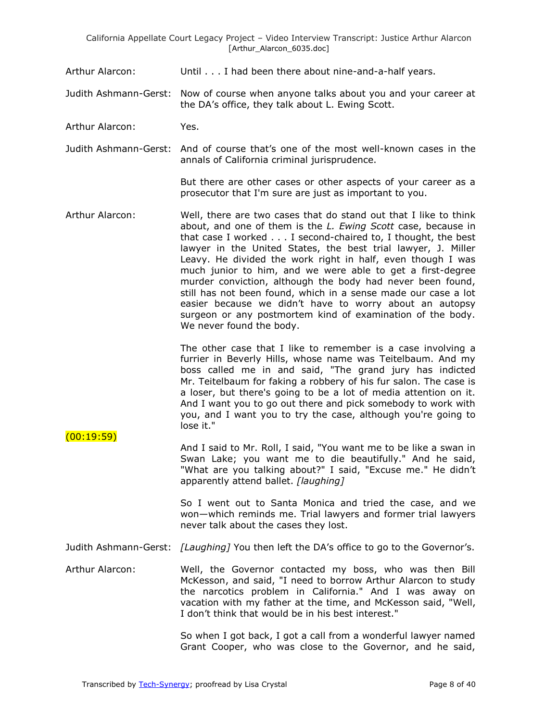- Arthur Alarcon: Until . . . I had been there about nine-and-a-half years.
- Judith Ashmann-Gerst: Now of course when anyone talks about you and your career at the DA's office, they talk about L. Ewing Scott.
- Arthur Alarcon: Yes.

 $(00:19:59)$ 

Judith Ashmann-Gerst: And of course that's one of the most well-known cases in the annals of California criminal jurisprudence.

> But there are other cases or other aspects of your career as a prosecutor that I'm sure are just as important to you.

Arthur Alarcon: Well, there are two cases that do stand out that I like to think about, and one of them is the *L. Ewing Scott* case, because in that case I worked . . . I second-chaired to, I thought, the best lawyer in the United States, the best trial lawyer, J. Miller Leavy. He divided the work right in half, even though I was much junior to him, and we were able to get a first-degree murder conviction, although the body had never been found, still has not been found, which in a sense made our case a lot easier because we didn't have to worry about an autopsy surgeon or any postmortem kind of examination of the body. We never found the body.

> The other case that I like to remember is a case involving a furrier in Beverly Hills, whose name was Teitelbaum. And my boss called me in and said, "The grand jury has indicted Mr. Teitelbaum for faking a robbery of his fur salon. The case is a loser, but there's going to be a lot of media attention on it. And I want you to go out there and pick somebody to work with you, and I want you to try the case, although you're going to lose it."

And I said to Mr. Roll, I said, "You want me to be like a swan in Swan Lake; you want me to die beautifully." And he said, "What are you talking about?" I said, "Excuse me." He didn't apparently attend ballet. *[laughing]*

> So I went out to Santa Monica and tried the case, and we won—which reminds me. Trial lawyers and former trial lawyers never talk about the cases they lost.

Judith Ashmann-Gerst: *[Laughing]* You then left the DA's office to go to the Governor's.

Arthur Alarcon: Well, the Governor contacted my boss, who was then Bill McKesson, and said, "I need to borrow Arthur Alarcon to study the narcotics problem in California." And I was away on vacation with my father at the time, and McKesson said, "Well, I don't think that would be in his best interest."

> So when I got back, I got a call from a wonderful lawyer named Grant Cooper, who was close to the Governor, and he said,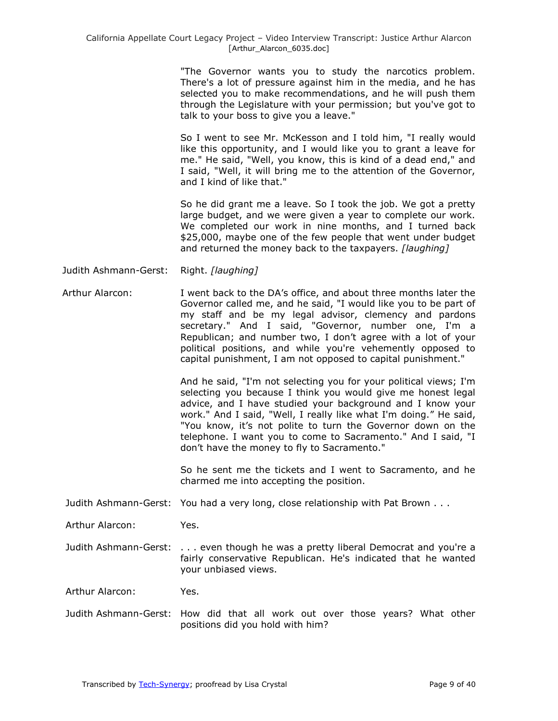"The Governor wants you to study the narcotics problem. There's a lot of pressure against him in the media, and he has selected you to make recommendations, and he will push them through the Legislature with your permission; but you've got to talk to your boss to give you a leave."

So I went to see Mr. McKesson and I told him, "I really would like this opportunity, and I would like you to grant a leave for me." He said, "Well, you know, this is kind of a dead end," and I said, "Well, it will bring me to the attention of the Governor, and I kind of like that."

So he did grant me a leave. So I took the job. We got a pretty large budget, and we were given a year to complete our work. We completed our work in nine months, and I turned back \$25,000, maybe one of the few people that went under budget and returned the money back to the taxpayers. *[laughing]*

Judith Ashmann-Gerst: Right. *[laughing]*

Arthur Alarcon: I went back to the DA's office, and about three months later the Governor called me, and he said, "I would like you to be part of my staff and be my legal advisor, clemency and pardons secretary." And I said, "Governor, number one, I'm a Republican; and number two, I don't agree with a lot of your political positions, and while you're vehemently opposed to capital punishment, I am not opposed to capital punishment."

> And he said, "I'm not selecting you for your political views; I'm selecting you because I think you would give me honest legal advice, and I have studied your background and I know your work." And I said, "Well, I really like what I'm doing." He said, "You know, it's not polite to turn the Governor down on the telephone. I want you to come to Sacramento." And I said, "I don't have the money to fly to Sacramento."

> So he sent me the tickets and I went to Sacramento, and he charmed me into accepting the position.

Judith Ashmann-Gerst: You had a very long, close relationship with Pat Brown . . .

Arthur Alarcon: Yes.

Judith Ashmann-Gerst: . . . even though he was a pretty liberal Democrat and you're a fairly conservative Republican. He's indicated that he wanted your unbiased views.

Arthur Alarcon: Yes.

Judith Ashmann-Gerst: How did that all work out over those years? What other positions did you hold with him?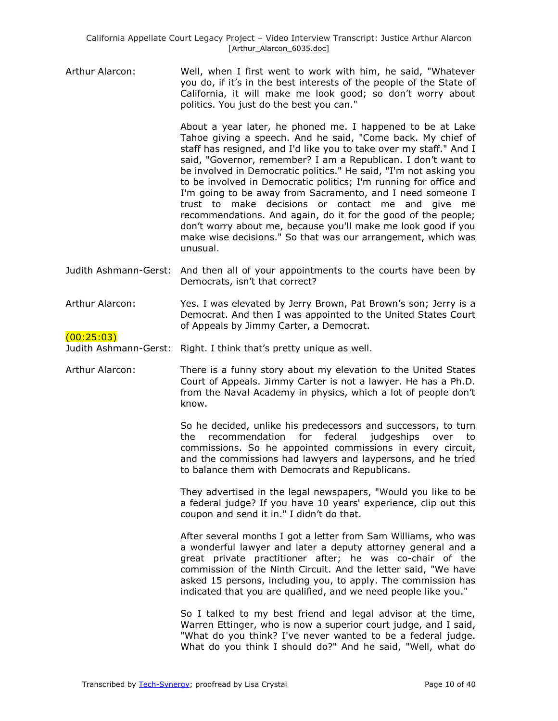Arthur Alarcon: Well, when I first went to work with him, he said, "Whatever you do, if it's in the best interests of the people of the State of California, it will make me look good; so don't worry about politics. You just do the best you can."

> About a year later, he phoned me. I happened to be at Lake Tahoe giving a speech. And he said, "Come back. My chief of staff has resigned, and I'd like you to take over my staff." And I said, "Governor, remember? I am a Republican. I don't want to be involved in Democratic politics." He said, "I'm not asking you to be involved in Democratic politics; I'm running for office and I'm going to be away from Sacramento, and I need someone I trust to make decisions or contact me and give me recommendations. And again, do it for the good of the people; don't worry about me, because you'll make me look good if you make wise decisions." So that was our arrangement, which was unusual.

- Judith Ashmann-Gerst: And then all of your appointments to the courts have been by Democrats, isn't that correct?
- Arthur Alarcon: Yes. I was elevated by Jerry Brown, Pat Brown's son; Jerry is a Democrat. And then I was appointed to the United States Court of Appeals by Jimmy Carter, a Democrat.

## $(00:25:03)$

Judith Ashmann-Gerst: Right. I think that's pretty unique as well.

Arthur Alarcon: There is a funny story about my elevation to the United States Court of Appeals. Jimmy Carter is not a lawyer. He has a Ph.D. from the Naval Academy in physics, which a lot of people don't know.

> So he decided, unlike his predecessors and successors, to turn the recommendation for federal judgeships over to commissions. So he appointed commissions in every circuit, and the commissions had lawyers and laypersons, and he tried to balance them with Democrats and Republicans.

> They advertised in the legal newspapers, "Would you like to be a federal judge? If you have 10 years' experience, clip out this coupon and send it in." I didn't do that.

> After several months I got a letter from Sam Williams, who was a wonderful lawyer and later a deputy attorney general and a great private practitioner after; he was co-chair of the commission of the Ninth Circuit. And the letter said, "We have asked 15 persons, including you, to apply. The commission has indicated that you are qualified, and we need people like you."

> So I talked to my best friend and legal advisor at the time, Warren Ettinger, who is now a superior court judge, and I said, "What do you think? I've never wanted to be a federal judge. What do you think I should do?" And he said, "Well, what do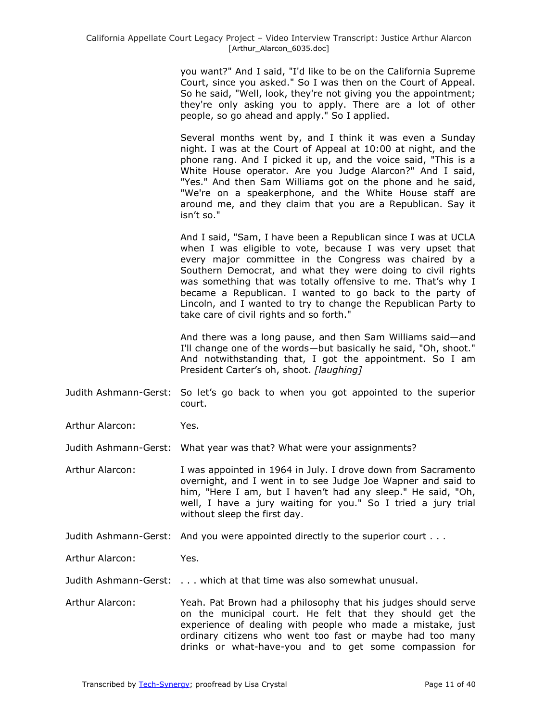you want?" And I said, "I'd like to be on the California Supreme Court, since you asked." So I was then on the Court of Appeal. So he said, "Well, look, they're not giving you the appointment; they're only asking you to apply. There are a lot of other people, so go ahead and apply." So I applied.

Several months went by, and I think it was even a Sunday night. I was at the Court of Appeal at 10:00 at night, and the phone rang. And I picked it up, and the voice said, "This is a White House operator. Are you Judge Alarcon?" And I said, "Yes." And then Sam Williams got on the phone and he said, "We're on a speakerphone, and the White House staff are around me, and they claim that you are a Republican. Say it isn't so."

And I said, "Sam, I have been a Republican since I was at UCLA when I was eligible to vote, because I was very upset that every major committee in the Congress was chaired by a Southern Democrat, and what they were doing to civil rights was something that was totally offensive to me. That's why I became a Republican. I wanted to go back to the party of Lincoln, and I wanted to try to change the Republican Party to take care of civil rights and so forth."

And there was a long pause, and then Sam Williams said—and I'll change one of the words—but basically he said, "Oh, shoot." And notwithstanding that, I got the appointment. So I am President Carter's oh, shoot. *[laughing]*

- Judith Ashmann-Gerst: So let's go back to when you got appointed to the superior court.
- Arthur Alarcon: Yes.

Judith Ashmann-Gerst: What year was that? What were your assignments?

- Arthur Alarcon: I was appointed in 1964 in July. I drove down from Sacramento overnight, and I went in to see Judge Joe Wapner and said to him, "Here I am, but I haven't had any sleep." He said, "Oh, well, I have a jury waiting for you." So I tried a jury trial without sleep the first day.
- Judith Ashmann-Gerst: And you were appointed directly to the superior court . . .
- Arthur Alarcon: Yes.
- Judith Ashmann-Gerst: . . . which at that time was also somewhat unusual.
- Arthur Alarcon: Yeah. Pat Brown had a philosophy that his judges should serve on the municipal court. He felt that they should get the experience of dealing with people who made a mistake, just ordinary citizens who went too fast or maybe had too many drinks or what-have-you and to get some compassion for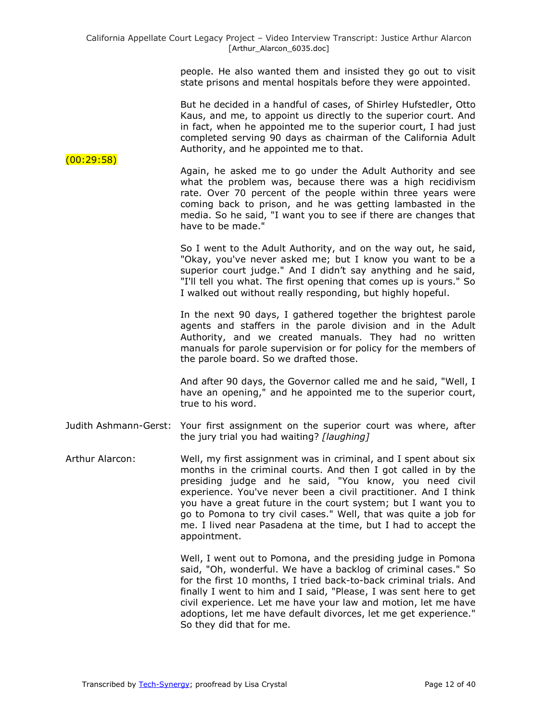people. He also wanted them and insisted they go out to visit state prisons and mental hospitals before they were appointed.

But he decided in a handful of cases, of Shirley Hufstedler, Otto Kaus, and me, to appoint us directly to the superior court. And in fact, when he appointed me to the superior court, I had just completed serving 90 days as chairman of the California Adult Authority, and he appointed me to that.

Again, he asked me to go under the Adult Authority and see what the problem was, because there was a high recidivism rate. Over 70 percent of the people within three years were coming back to prison, and he was getting lambasted in the media. So he said, "I want you to see if there are changes that have to be made."

> So I went to the Adult Authority, and on the way out, he said, "Okay, you've never asked me; but I know you want to be a superior court judge." And I didn't say anything and he said, "I'll tell you what. The first opening that comes up is yours." So I walked out without really responding, but highly hopeful.

> In the next 90 days, I gathered together the brightest parole agents and staffers in the parole division and in the Adult Authority, and we created manuals. They had no written manuals for parole supervision or for policy for the members of the parole board. So we drafted those.

> And after 90 days, the Governor called me and he said, "Well, I have an opening," and he appointed me to the superior court, true to his word.

- Judith Ashmann-Gerst: Your first assignment on the superior court was where, after the jury trial you had waiting? *[laughing]*
- Arthur Alarcon: Well, my first assignment was in criminal, and I spent about six months in the criminal courts. And then I got called in by the presiding judge and he said, "You know, you need civil experience. You've never been a civil practitioner. And I think you have a great future in the court system; but I want you to go to Pomona to try civil cases." Well, that was quite a job for me. I lived near Pasadena at the time, but I had to accept the appointment.

Well, I went out to Pomona, and the presiding judge in Pomona said, "Oh, wonderful. We have a backlog of criminal cases." So for the first 10 months, I tried back-to-back criminal trials. And finally I went to him and I said, "Please, I was sent here to get civil experience. Let me have your law and motion, let me have adoptions, let me have default divorces, let me get experience." So they did that for me.

 $(00:29:58)$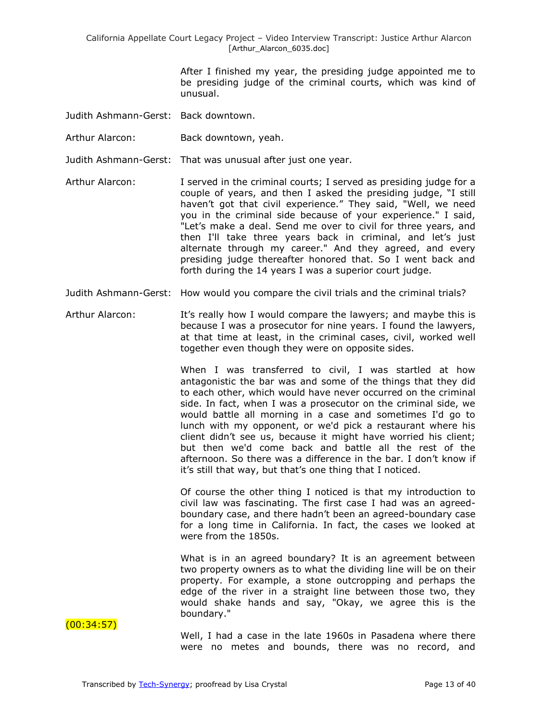After I finished my year, the presiding judge appointed me to be presiding judge of the criminal courts, which was kind of unusual.

- Judith Ashmann-Gerst: Back downtown.
- Arthur Alarcon: Back downtown, yeah.
- Judith Ashmann-Gerst: That was unusual after just one year.
- Arthur Alarcon: I served in the criminal courts; I served as presiding judge for a couple of years, and then I asked the presiding judge, "I still haven't got that civil experience." They said, "Well, we need you in the criminal side because of your experience." I said, "Let's make a deal. Send me over to civil for three years, and then I'll take three years back in criminal, and let's just alternate through my career." And they agreed, and every presiding judge thereafter honored that. So I went back and forth during the 14 years I was a superior court judge.
- Judith Ashmann-Gerst: How would you compare the civil trials and the criminal trials?
- Arthur Alarcon: It's really how I would compare the lawyers; and maybe this is because I was a prosecutor for nine years. I found the lawyers, at that time at least, in the criminal cases, civil, worked well together even though they were on opposite sides.

When I was transferred to civil, I was startled at how antagonistic the bar was and some of the things that they did to each other, which would have never occurred on the criminal side. In fact, when I was a prosecutor on the criminal side, we would battle all morning in a case and sometimes I'd go to lunch with my opponent, or we'd pick a restaurant where his client didn't see us, because it might have worried his client; but then we'd come back and battle all the rest of the afternoon. So there was a difference in the bar. I don't know if it's still that way, but that's one thing that I noticed.

Of course the other thing I noticed is that my introduction to civil law was fascinating. The first case I had was an agreedboundary case, and there hadn't been an agreed-boundary case for a long time in California. In fact, the cases we looked at were from the 1850s.

What is in an agreed boundary? It is an agreement between two property owners as to what the dividing line will be on their property. For example, a stone outcropping and perhaps the edge of the river in a straight line between those two, they would shake hands and say, "Okay, we agree this is the boundary."

(00:34:57)

Well, I had a case in the late 1960s in Pasadena where there were no metes and bounds, there was no record, and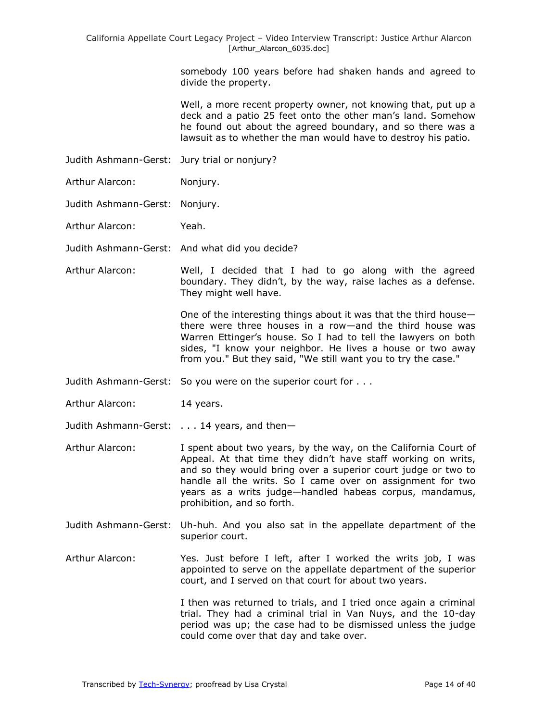somebody 100 years before had shaken hands and agreed to divide the property.

Well, a more recent property owner, not knowing that, put up a deck and a patio 25 feet onto the other man's land. Somehow he found out about the agreed boundary, and so there was a lawsuit as to whether the man would have to destroy his patio.

- Judith Ashmann-Gerst: Jury trial or nonjury?
- Arthur Alarcon: Nonjury.
- Judith Ashmann-Gerst: Nonjury.
- Arthur Alarcon: Yeah.
- Judith Ashmann-Gerst: And what did you decide?
- Arthur Alarcon: Well, I decided that I had to go along with the agreed boundary. They didn't, by the way, raise laches as a defense. They might well have.

One of the interesting things about it was that the third house there were three houses in a row—and the third house was Warren Ettinger's house. So I had to tell the lawyers on both sides, "I know your neighbor. He lives a house or two away from you." But they said, "We still want you to try the case."

- Judith Ashmann-Gerst: So you were on the superior court for . . .
- Arthur Alarcon: 14 years.
- Judith Ashmann-Gerst: . . . 14 years, and then-
- Arthur Alarcon: I spent about two years, by the way, on the California Court of Appeal. At that time they didn't have staff working on writs, and so they would bring over a superior court judge or two to handle all the writs. So I came over on assignment for two years as a writs judge—handled habeas corpus, mandamus, prohibition, and so forth.
- Judith Ashmann-Gerst: Uh-huh. And you also sat in the appellate department of the superior court.
- Arthur Alarcon: Yes. Just before I left, after I worked the writs job, I was appointed to serve on the appellate department of the superior court, and I served on that court for about two years.

I then was returned to trials, and I tried once again a criminal trial. They had a criminal trial in Van Nuys, and the 10-day period was up; the case had to be dismissed unless the judge could come over that day and take over.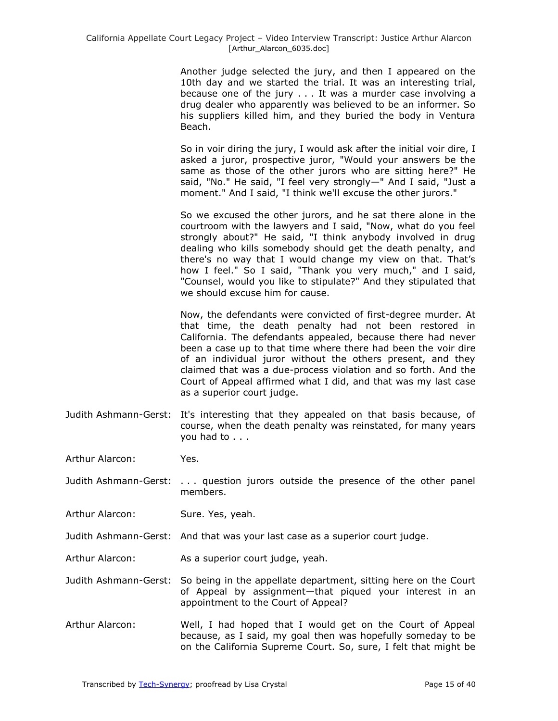Another judge selected the jury, and then I appeared on the 10th day and we started the trial. It was an interesting trial, because one of the jury . . . It was a murder case involving a drug dealer who apparently was believed to be an informer. So his suppliers killed him, and they buried the body in Ventura Beach.

So in voir diring the jury, I would ask after the initial voir dire, I asked a juror, prospective juror, "Would your answers be the same as those of the other jurors who are sitting here?" He said, "No." He said, "I feel very strongly—" And I said, "Just a moment." And I said, "I think we'll excuse the other jurors."

So we excused the other jurors, and he sat there alone in the courtroom with the lawyers and I said, "Now, what do you feel strongly about?" He said, "I think anybody involved in drug dealing who kills somebody should get the death penalty, and there's no way that I would change my view on that. That's how I feel." So I said, "Thank you very much," and I said, "Counsel, would you like to stipulate?" And they stipulated that we should excuse him for cause.

Now, the defendants were convicted of first-degree murder. At that time, the death penalty had not been restored in California. The defendants appealed, because there had never been a case up to that time where there had been the voir dire of an individual juror without the others present, and they claimed that was a due-process violation and so forth. And the Court of Appeal affirmed what I did, and that was my last case as a superior court judge.

Judith Ashmann-Gerst: It's interesting that they appealed on that basis because, of course, when the death penalty was reinstated, for many years you had to . . .

Arthur Alarcon: Yes.

- Judith Ashmann-Gerst: . . . question jurors outside the presence of the other panel members.
- Arthur Alarcon: Sure. Yes, yeah.
- Judith Ashmann-Gerst: And that was your last case as a superior court judge.
- Arthur Alarcon: As a superior court judge, yeah.
- Judith Ashmann-Gerst: So being in the appellate department, sitting here on the Court of Appeal by assignment—that piqued your interest in an appointment to the Court of Appeal?
- Arthur Alarcon: Well, I had hoped that I would get on the Court of Appeal because, as I said, my goal then was hopefully someday to be on the California Supreme Court. So, sure, I felt that might be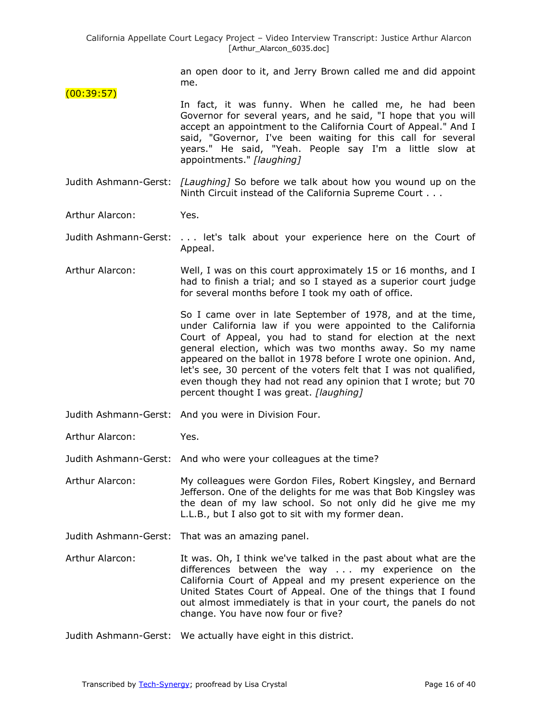an open door to it, and Jerry Brown called me and did appoint me.

- (00:39:57) In fact, it was funny. When he called me, he had been Governor for several years, and he said, "I hope that you will accept an appointment to the California Court of Appeal." And I said, "Governor, I've been waiting for this call for several years." He said, "Yeah. People say I'm a little slow at appointments." *[laughing]*
- Judith Ashmann-Gerst: *[Laughing]* So before we talk about how you wound up on the Ninth Circuit instead of the California Supreme Court . . .
- Arthur Alarcon: Yes.
- Judith Ashmann-Gerst: . . . let's talk about your experience here on the Court of Appeal.
- Arthur Alarcon: Well, I was on this court approximately 15 or 16 months, and I had to finish a trial; and so I stayed as a superior court judge for several months before I took my oath of office.

So I came over in late September of 1978, and at the time, under California law if you were appointed to the California Court of Appeal, you had to stand for election at the next general election, which was two months away. So my name appeared on the ballot in 1978 before I wrote one opinion. And, let's see, 30 percent of the voters felt that I was not qualified, even though they had not read any opinion that I wrote; but 70 percent thought I was great. *[laughing]*

- Judith Ashmann-Gerst: And you were in Division Four.
- Arthur Alarcon: Yes.

Judith Ashmann-Gerst: And who were your colleagues at the time?

Arthur Alarcon: My colleagues were Gordon Files, Robert Kingsley, and Bernard Jefferson. One of the delights for me was that Bob Kingsley was the dean of my law school. So not only did he give me my L.L.B., but I also got to sit with my former dean.

- Judith Ashmann-Gerst: That was an amazing panel.
- Arthur Alarcon: It was. Oh, I think we've talked in the past about what are the differences between the way . . . my experience on the California Court of Appeal and my present experience on the United States Court of Appeal. One of the things that I found out almost immediately is that in your court, the panels do not change. You have now four or five?
- Judith Ashmann-Gerst: We actually have eight in this district.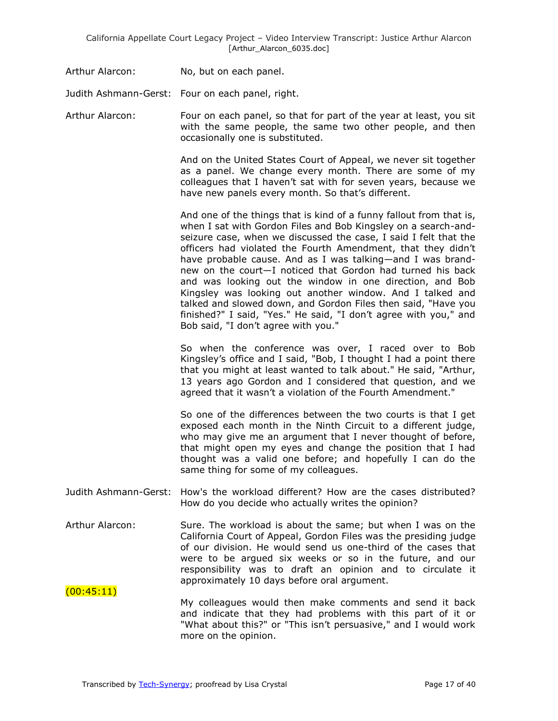Arthur Alarcon: No, but on each panel.

Judith Ashmann-Gerst: Four on each panel, right.

Arthur Alarcon: Four on each panel, so that for part of the year at least, you sit with the same people, the same two other people, and then occasionally one is substituted.

> And on the United States Court of Appeal, we never sit together as a panel. We change every month. There are some of my colleagues that I haven't sat with for seven years, because we have new panels every month. So that's different.

> And one of the things that is kind of a funny fallout from that is, when I sat with Gordon Files and Bob Kingsley on a search-andseizure case, when we discussed the case, I said I felt that the officers had violated the Fourth Amendment, that they didn't have probable cause. And as I was talking—and I was brandnew on the court—I noticed that Gordon had turned his back and was looking out the window in one direction, and Bob Kingsley was looking out another window. And I talked and talked and slowed down, and Gordon Files then said, "Have you finished?" I said, "Yes." He said, "I don't agree with you," and Bob said, "I don't agree with you."

> So when the conference was over, I raced over to Bob Kingsley's office and I said, "Bob, I thought I had a point there that you might at least wanted to talk about." He said, "Arthur, 13 years ago Gordon and I considered that question, and we agreed that it wasn't a violation of the Fourth Amendment."

> So one of the differences between the two courts is that I get exposed each month in the Ninth Circuit to a different judge, who may give me an argument that I never thought of before, that might open my eyes and change the position that I had thought was a valid one before; and hopefully I can do the same thing for some of my colleagues.

- Judith Ashmann-Gerst: How's the workload different? How are the cases distributed? How do you decide who actually writes the opinion?
- Arthur Alarcon: Sure. The workload is about the same; but when I was on the California Court of Appeal, Gordon Files was the presiding judge of our division. He would send us one-third of the cases that were to be argued six weeks or so in the future, and our responsibility was to draft an opinion and to circulate it approximately 10 days before oral argument.
- $(00:45:11)$ My colleagues would then make comments and send it back and indicate that they had problems with this part of it or "What about this?" or "This isn't persuasive," and I would work more on the opinion.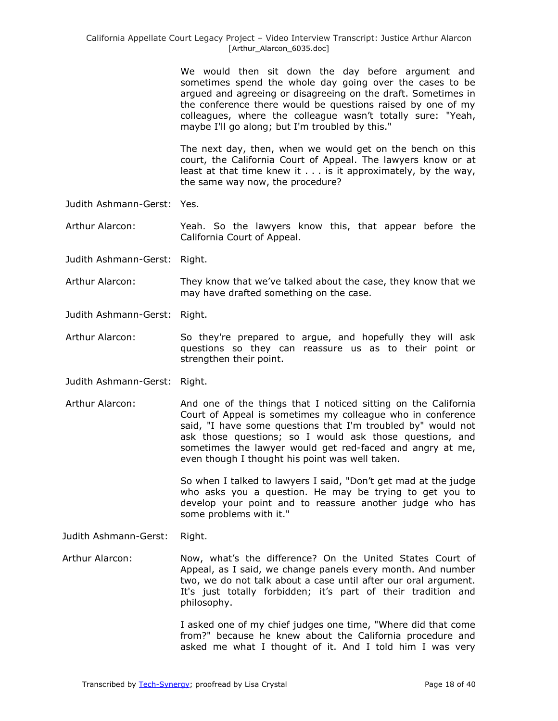We would then sit down the day before argument and sometimes spend the whole day going over the cases to be argued and agreeing or disagreeing on the draft. Sometimes in the conference there would be questions raised by one of my colleagues, where the colleague wasn't totally sure: "Yeah, maybe I'll go along; but I'm troubled by this."

The next day, then, when we would get on the bench on this court, the California Court of Appeal. The lawyers know or at least at that time knew it . . . is it approximately, by the way, the same way now, the procedure?

Judith Ashmann-Gerst: Yes.

Arthur Alarcon: Yeah. So the lawyers know this, that appear before the California Court of Appeal.

- Judith Ashmann-Gerst: Right.
- Arthur Alarcon: They know that we've talked about the case, they know that we may have drafted something on the case.
- Judith Ashmann-Gerst: Right.
- Arthur Alarcon: So they're prepared to argue, and hopefully they will ask questions so they can reassure us as to their point or strengthen their point.
- Judith Ashmann-Gerst: Right.
- Arthur Alarcon: And one of the things that I noticed sitting on the California Court of Appeal is sometimes my colleague who in conference said, "I have some questions that I'm troubled by" would not ask those questions; so I would ask those questions, and sometimes the lawyer would get red-faced and angry at me, even though I thought his point was well taken.

So when I talked to lawyers I said, "Don't get mad at the judge who asks you a question. He may be trying to get you to develop your point and to reassure another judge who has some problems with it."

Judith Ashmann-Gerst: Right.

Arthur Alarcon: Now, what's the difference? On the United States Court of Appeal, as I said, we change panels every month. And number two, we do not talk about a case until after our oral argument. It's just totally forbidden; it's part of their tradition and philosophy.

> I asked one of my chief judges one time, "Where did that come from?" because he knew about the California procedure and asked me what I thought of it. And I told him I was very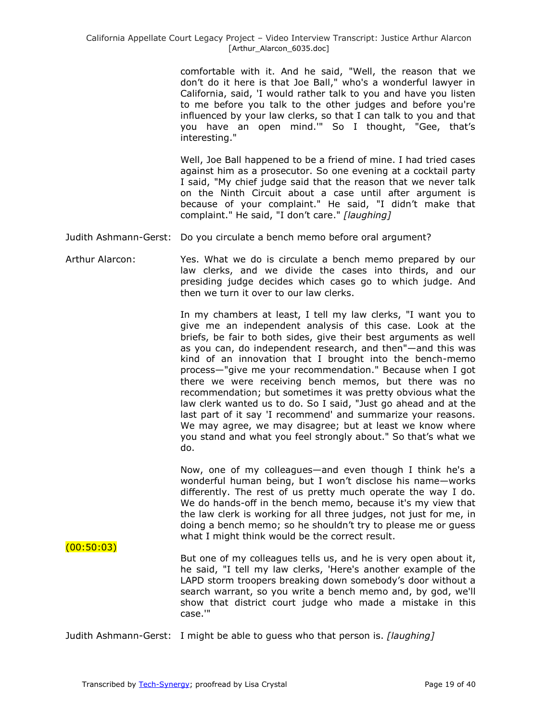comfortable with it. And he said, "Well, the reason that we don't do it here is that Joe Ball," who's a wonderful lawyer in California, said, 'I would rather talk to you and have you listen to me before you talk to the other judges and before you're influenced by your law clerks, so that I can talk to you and that you have an open mind.'" So I thought, "Gee, that's interesting."

Well, Joe Ball happened to be a friend of mine. I had tried cases against him as a prosecutor. So one evening at a cocktail party I said, "My chief judge said that the reason that we never talk on the Ninth Circuit about a case until after argument is because of your complaint." He said, "I didn't make that complaint." He said, "I don't care." *[laughing]*

Judith Ashmann-Gerst: Do you circulate a bench memo before oral argument?

Arthur Alarcon: Yes. What we do is circulate a bench memo prepared by our law clerks, and we divide the cases into thirds, and our presiding judge decides which cases go to which judge. And then we turn it over to our law clerks.

> In my chambers at least, I tell my law clerks, "I want you to give me an independent analysis of this case. Look at the briefs, be fair to both sides, give their best arguments as well as you can, do independent research, and then"—and this was kind of an innovation that I brought into the bench-memo process—"give me your recommendation." Because when I got there we were receiving bench memos, but there was no recommendation; but sometimes it was pretty obvious what the law clerk wanted us to do. So I said, "Just go ahead and at the last part of it say 'I recommend' and summarize your reasons. We may agree, we may disagree; but at least we know where you stand and what you feel strongly about." So that's what we do.

> Now, one of my colleagues—and even though I think he's a wonderful human being, but I won't disclose his name—works differently. The rest of us pretty much operate the way I do. We do hands-off in the bench memo, because it's my view that the law clerk is working for all three judges, not just for me, in doing a bench memo; so he shouldn't try to please me or guess what I might think would be the correct result.

 $(00:50:03)$ 

But one of my colleagues tells us, and he is very open about it, he said, "I tell my law clerks, 'Here's another example of the LAPD storm troopers breaking down somebody's door without a search warrant, so you write a bench memo and, by god, we'll show that district court judge who made a mistake in this case.'"

Judith Ashmann-Gerst: I might be able to guess who that person is. *[laughing]*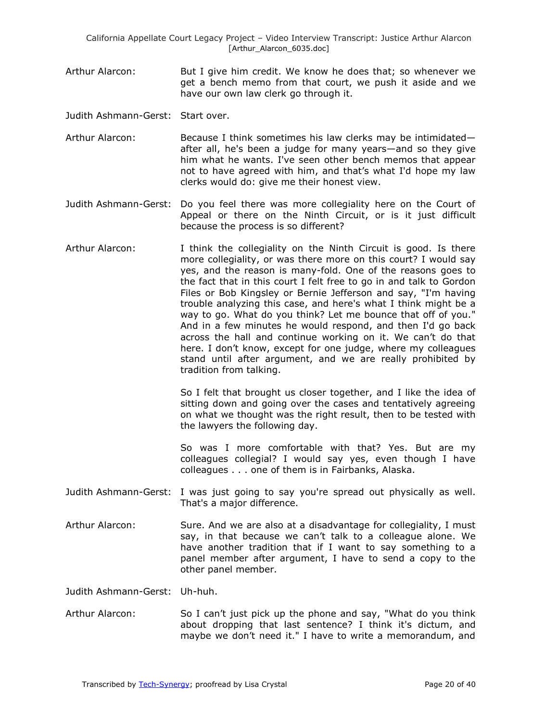California Appellate Court Legacy Project – Video Interview Transcript: Justice Arthur Alarcon [Arthur\_Alarcon\_6035.doc]

Arthur Alarcon: But I give him credit. We know he does that; so whenever we get a bench memo from that court, we push it aside and we have our own law clerk go through it.

Judith Ashmann-Gerst: Start over.

- Arthur Alarcon: Because I think sometimes his law clerks may be intimidated after all, he's been a judge for many years—and so they give him what he wants. I've seen other bench memos that appear not to have agreed with him, and that's what I'd hope my law clerks would do: give me their honest view.
- Judith Ashmann-Gerst: Do you feel there was more collegiality here on the Court of Appeal or there on the Ninth Circuit, or is it just difficult because the process is so different?
- Arthur Alarcon: I think the collegiality on the Ninth Circuit is good. Is there more collegiality, or was there more on this court? I would say yes, and the reason is many-fold. One of the reasons goes to the fact that in this court I felt free to go in and talk to Gordon Files or Bob Kingsley or Bernie Jefferson and say, "I'm having trouble analyzing this case, and here's what I think might be a way to go. What do you think? Let me bounce that off of you." And in a few minutes he would respond, and then I'd go back across the hall and continue working on it. We can't do that here. I don't know, except for one judge, where my colleagues stand until after argument, and we are really prohibited by tradition from talking.

So I felt that brought us closer together, and I like the idea of sitting down and going over the cases and tentatively agreeing on what we thought was the right result, then to be tested with the lawyers the following day.

So was I more comfortable with that? Yes. But are my colleagues collegial? I would say yes, even though I have colleagues . . . one of them is in Fairbanks, Alaska.

- Judith Ashmann-Gerst: I was just going to say you're spread out physically as well. That's a major difference.
- Arthur Alarcon: Sure. And we are also at a disadvantage for collegiality, I must say, in that because we can't talk to a colleague alone. We have another tradition that if I want to say something to a panel member after argument, I have to send a copy to the other panel member.

Judith Ashmann-Gerst: Uh-huh.

Arthur Alarcon: So I can't just pick up the phone and say, "What do you think about dropping that last sentence? I think it's dictum, and maybe we don't need it." I have to write a memorandum, and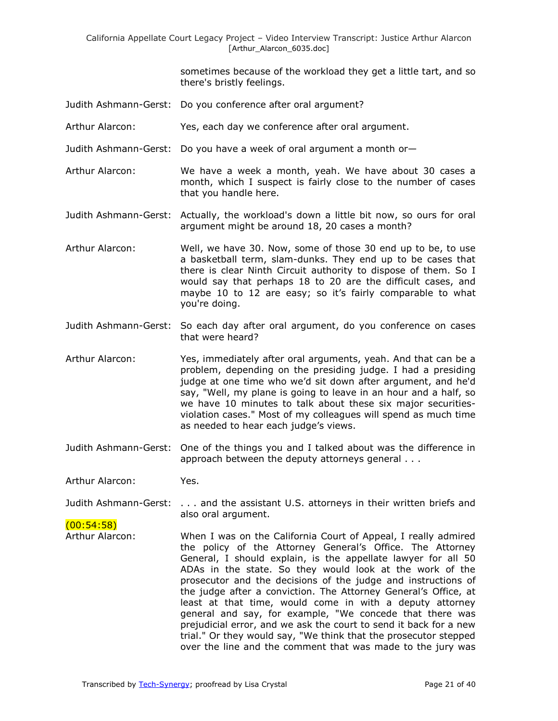sometimes because of the workload they get a little tart, and so there's bristly feelings.

- Judith Ashmann-Gerst: Do you conference after oral argument?
- Arthur Alarcon: Yes, each day we conference after oral argument.
- Judith Ashmann-Gerst: Do you have a week of oral argument a month or—
- Arthur Alarcon: We have a week a month, yeah. We have about 30 cases a month, which I suspect is fairly close to the number of cases that you handle here.

Judith Ashmann-Gerst: Actually, the workload's down a little bit now, so ours for oral argument might be around 18, 20 cases a month?

- Arthur Alarcon: Well, we have 30. Now, some of those 30 end up to be, to use a basketball term, slam-dunks. They end up to be cases that there is clear Ninth Circuit authority to dispose of them. So I would say that perhaps 18 to 20 are the difficult cases, and maybe 10 to 12 are easy; so it's fairly comparable to what you're doing.
- Judith Ashmann-Gerst: So each day after oral argument, do you conference on cases that were heard?
- Arthur Alarcon: Yes, immediately after oral arguments, yeah. And that can be a problem, depending on the presiding judge. I had a presiding judge at one time who we'd sit down after argument, and he'd say, "Well, my plane is going to leave in an hour and a half, so we have 10 minutes to talk about these six major securitiesviolation cases." Most of my colleagues will spend as much time as needed to hear each judge's views.
- Judith Ashmann-Gerst: One of the things you and I talked about was the difference in approach between the deputy attorneys general . . .

Arthur Alarcon: Yes.

Judith Ashmann-Gerst: . . . and the assistant U.S. attorneys in their written briefs and also oral argument.

 $(00:54:58)$ 

Arthur Alarcon: When I was on the California Court of Appeal, I really admired the policy of the Attorney General's Office. The Attorney General, I should explain, is the appellate lawyer for all 50 ADAs in the state. So they would look at the work of the prosecutor and the decisions of the judge and instructions of the judge after a conviction. The Attorney General's Office, at least at that time, would come in with a deputy attorney general and say, for example, "We concede that there was prejudicial error, and we ask the court to send it back for a new trial." Or they would say, "We think that the prosecutor stepped over the line and the comment that was made to the jury was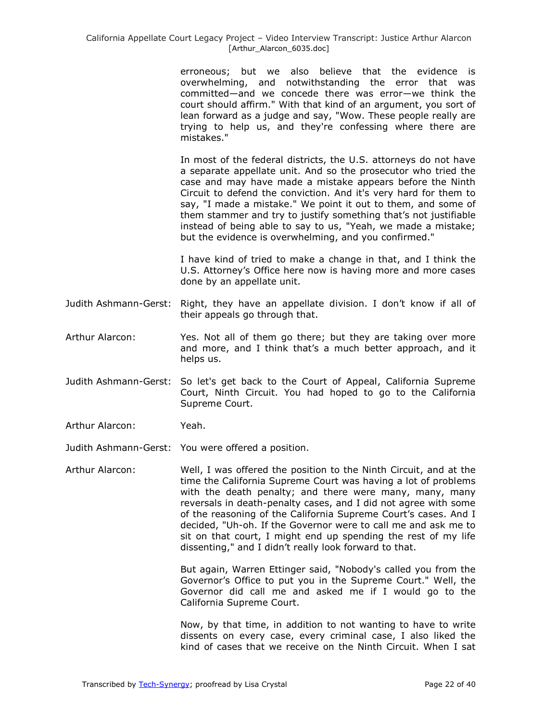#### California Appellate Court Legacy Project – Video Interview Transcript: Justice Arthur Alarcon [Arthur\_Alarcon\_6035.doc]

erroneous; but we also believe that the evidence is overwhelming, and notwithstanding the error that was committed—and we concede there was error—we think the court should affirm." With that kind of an argument, you sort of lean forward as a judge and say, "Wow. These people really are trying to help us, and they're confessing where there are mistakes."

In most of the federal districts, the U.S. attorneys do not have a separate appellate unit. And so the prosecutor who tried the case and may have made a mistake appears before the Ninth Circuit to defend the conviction. And it's very hard for them to say, "I made a mistake." We point it out to them, and some of them stammer and try to justify something that's not justifiable instead of being able to say to us, "Yeah, we made a mistake; but the evidence is overwhelming, and you confirmed."

I have kind of tried to make a change in that, and I think the U.S. Attorney's Office here now is having more and more cases done by an appellate unit.

- Judith Ashmann-Gerst: Right, they have an appellate division. I don't know if all of their appeals go through that.
- Arthur Alarcon: Yes. Not all of them go there; but they are taking over more and more, and I think that's a much better approach, and it helps us.
- Judith Ashmann-Gerst: So let's get back to the Court of Appeal, California Supreme Court, Ninth Circuit. You had hoped to go to the California Supreme Court.
- Arthur Alarcon: Yeah.

Judith Ashmann-Gerst: You were offered a position.

Arthur Alarcon: Well, I was offered the position to the Ninth Circuit, and at the time the California Supreme Court was having a lot of problems with the death penalty; and there were many, many, many reversals in death-penalty cases, and I did not agree with some of the reasoning of the California Supreme Court's cases. And I decided, "Uh-oh. If the Governor were to call me and ask me to sit on that court, I might end up spending the rest of my life dissenting," and I didn't really look forward to that.

> But again, Warren Ettinger said, "Nobody's called you from the Governor's Office to put you in the Supreme Court." Well, the Governor did call me and asked me if I would go to the California Supreme Court.

> Now, by that time, in addition to not wanting to have to write dissents on every case, every criminal case, I also liked the kind of cases that we receive on the Ninth Circuit. When I sat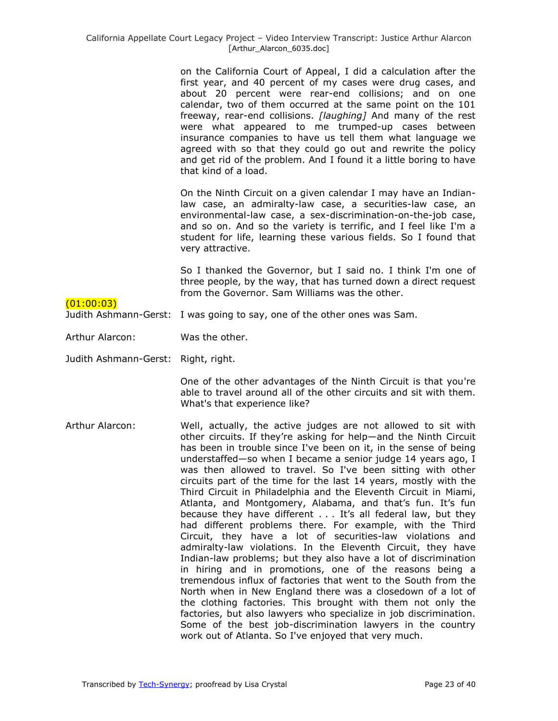on the California Court of Appeal, I did a calculation after the first year, and 40 percent of my cases were drug cases, and about 20 percent were rear-end collisions; and on one calendar, two of them occurred at the same point on the 101 freeway, rear-end collisions. *[laughing]* And many of the rest were what appeared to me trumped-up cases between insurance companies to have us tell them what language we agreed with so that they could go out and rewrite the policy and get rid of the problem. And I found it a little boring to have that kind of a load.

On the Ninth Circuit on a given calendar I may have an Indianlaw case, an admiralty-law case, a securities-law case, an environmental-law case, a sex-discrimination-on-the-job case, and so on. And so the variety is terrific, and I feel like I'm a student for life, learning these various fields. So I found that very attractive.

So I thanked the Governor, but I said no. I think I'm one of three people, by the way, that has turned down a direct request from the Governor. Sam Williams was the other.

### $(01:00:03)$

Judith Ashmann-Gerst: I was going to say, one of the other ones was Sam.

Arthur Alarcon: Was the other.

Judith Ashmann-Gerst: Right, right.

One of the other advantages of the Ninth Circuit is that you're able to travel around all of the other circuits and sit with them. What's that experience like?

Arthur Alarcon: Well, actually, the active judges are not allowed to sit with other circuits. If they're asking for help—and the Ninth Circuit has been in trouble since I've been on it, in the sense of being understaffed—so when I became a senior judge 14 years ago, I was then allowed to travel. So I've been sitting with other circuits part of the time for the last 14 years, mostly with the Third Circuit in Philadelphia and the Eleventh Circuit in Miami, Atlanta, and Montgomery, Alabama, and that's fun. It's fun because they have different . . . It's all federal law, but they had different problems there. For example, with the Third Circuit, they have a lot of securities-law violations and admiralty-law violations. In the Eleventh Circuit, they have Indian-law problems; but they also have a lot of discrimination in hiring and in promotions, one of the reasons being a tremendous influx of factories that went to the South from the North when in New England there was a closedown of a lot of the clothing factories. This brought with them not only the factories, but also lawyers who specialize in job discrimination. Some of the best job-discrimination lawyers in the country work out of Atlanta. So I've enjoyed that very much.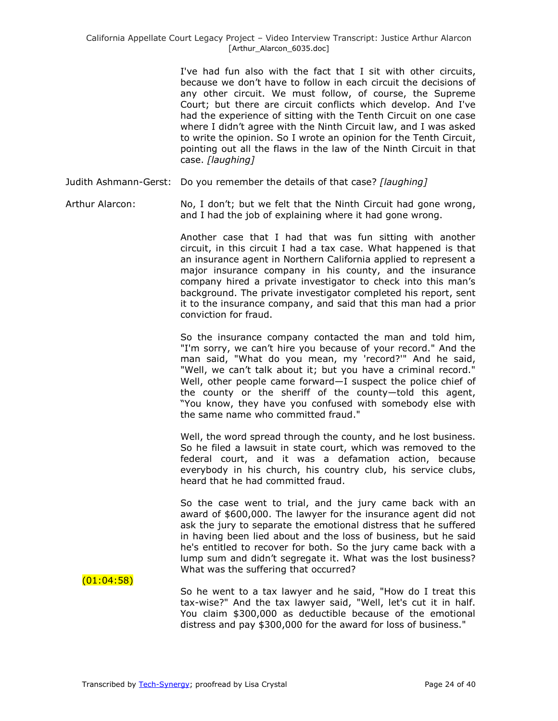I've had fun also with the fact that I sit with other circuits, because we don't have to follow in each circuit the decisions of any other circuit. We must follow, of course, the Supreme Court; but there are circuit conflicts which develop. And I've had the experience of sitting with the Tenth Circuit on one case where I didn't agree with the Ninth Circuit law, and I was asked to write the opinion. So I wrote an opinion for the Tenth Circuit, pointing out all the flaws in the law of the Ninth Circuit in that case. *[laughing]*

Judith Ashmann-Gerst: Do you remember the details of that case? *[laughing]*

Arthur Alarcon: No, I don't; but we felt that the Ninth Circuit had gone wrong, and I had the job of explaining where it had gone wrong.

> Another case that I had that was fun sitting with another circuit, in this circuit I had a tax case. What happened is that an insurance agent in Northern California applied to represent a major insurance company in his county, and the insurance company hired a private investigator to check into this man's background. The private investigator completed his report, sent it to the insurance company, and said that this man had a prior conviction for fraud.

> So the insurance company contacted the man and told him, "I'm sorry, we can't hire you because of your record." And the man said, "What do you mean, my 'record?'" And he said, "Well, we can't talk about it; but you have a criminal record." Well, other people came forward—I suspect the police chief of the county or the sheriff of the county—told this agent, "You know, they have you confused with somebody else with the same name who committed fraud."

> Well, the word spread through the county, and he lost business. So he filed a lawsuit in state court, which was removed to the federal court, and it was a defamation action, because everybody in his church, his country club, his service clubs, heard that he had committed fraud.

> So the case went to trial, and the jury came back with an award of \$600,000. The lawyer for the insurance agent did not ask the jury to separate the emotional distress that he suffered in having been lied about and the loss of business, but he said he's entitled to recover for both. So the jury came back with a lump sum and didn't segregate it. What was the lost business? What was the suffering that occurred?

 $(01:04:58)$ 

So he went to a tax lawyer and he said, "How do I treat this tax-wise?" And the tax lawyer said, "Well, let's cut it in half. You claim \$300,000 as deductible because of the emotional distress and pay \$300,000 for the award for loss of business."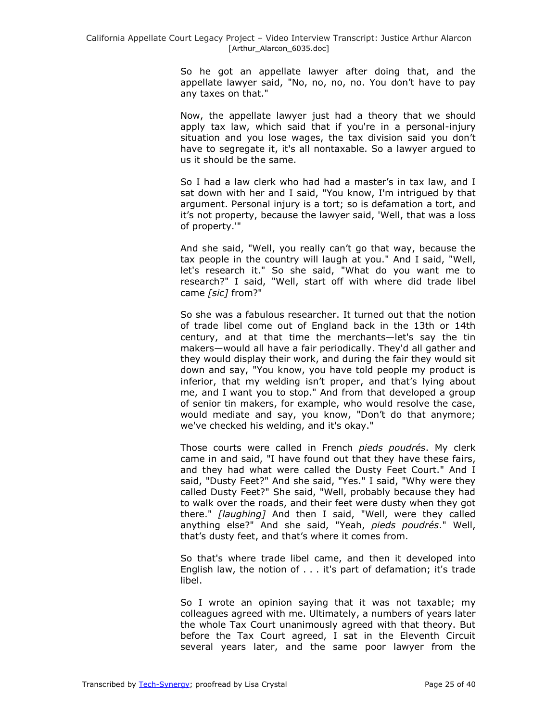So he got an appellate lawyer after doing that, and the appellate lawyer said, "No, no, no, no. You don't have to pay any taxes on that."

Now, the appellate lawyer just had a theory that we should apply tax law, which said that if you're in a personal-injury situation and you lose wages, the tax division said you don't have to segregate it, it's all nontaxable. So a lawyer argued to us it should be the same.

So I had a law clerk who had had a master's in tax law, and I sat down with her and I said, "You know, I'm intrigued by that argument. Personal injury is a tort; so is defamation a tort, and it's not property, because the lawyer said, 'Well, that was a loss of property.'"

And she said, "Well, you really can't go that way, because the tax people in the country will laugh at you." And I said, "Well, let's research it." So she said, "What do you want me to research?" I said, "Well, start off with where did trade libel came *[sic]* from?"

So she was a fabulous researcher. It turned out that the notion of trade libel come out of England back in the 13th or 14th century, and at that time the merchants—let's say the tin makers—would all have a fair periodically. They'd all gather and they would display their work, and during the fair they would sit down and say, "You know, you have told people my product is inferior, that my welding isn't proper, and that's lying about me, and I want you to stop." And from that developed a group of senior tin makers, for example, who would resolve the case, would mediate and say, you know, "Don't do that anymore; we've checked his welding, and it's okay."

Those courts were called in French *pieds poudrés*. My clerk came in and said, "I have found out that they have these fairs, and they had what were called the Dusty Feet Court." And I said, "Dusty Feet?" And she said, "Yes." I said, "Why were they called Dusty Feet?" She said, "Well, probably because they had to walk over the roads, and their feet were dusty when they got there." *[laughing]* And then I said, "Well, were they called anything else?" And she said, "Yeah, *pieds poudrés*." Well, that's dusty feet, and that's where it comes from.

So that's where trade libel came, and then it developed into English law, the notion of . . . it's part of defamation; it's trade libel.

So I wrote an opinion saying that it was not taxable; my colleagues agreed with me. Ultimately, a numbers of years later the whole Tax Court unanimously agreed with that theory. But before the Tax Court agreed, I sat in the Eleventh Circuit several years later, and the same poor lawyer from the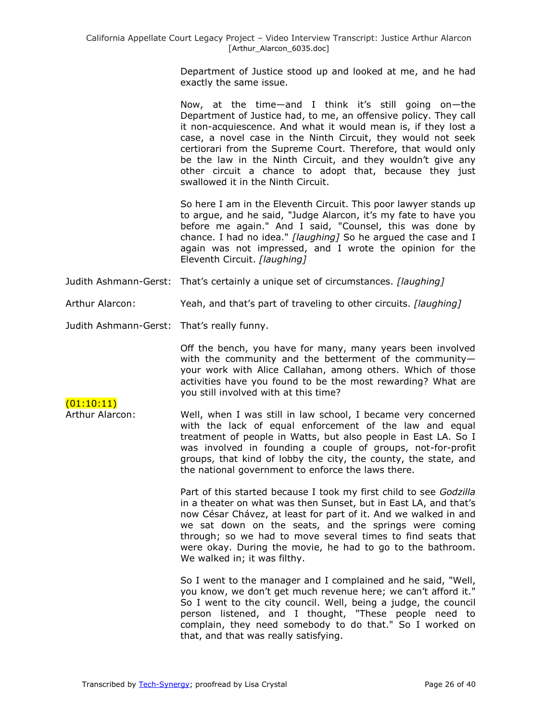Department of Justice stood up and looked at me, and he had exactly the same issue.

Now, at the time—and I think it's still going on—the Department of Justice had, to me, an offensive policy. They call it non-acquiescence. And what it would mean is, if they lost a case, a novel case in the Ninth Circuit, they would not seek certiorari from the Supreme Court. Therefore, that would only be the law in the Ninth Circuit, and they wouldn't give any other circuit a chance to adopt that, because they just swallowed it in the Ninth Circuit.

So here I am in the Eleventh Circuit. This poor lawyer stands up to argue, and he said, "Judge Alarcon, it's my fate to have you before me again." And I said, "Counsel, this was done by chance. I had no idea." *[laughing]* So he argued the case and I again was not impressed, and I wrote the opinion for the Eleventh Circuit. *[laughing]*

- Judith Ashmann-Gerst: That's certainly a unique set of circumstances. *[laughing]*
- Arthur Alarcon: Yeah, and that's part of traveling to other circuits. *[laughing]*
- Judith Ashmann-Gerst: That's really funny.

 $(01:10:11)$ 

Off the bench, you have for many, many years been involved with the community and the betterment of the community your work with Alice Callahan, among others. Which of those activities have you found to be the most rewarding? What are you still involved with at this time?

Arthur Alarcon: Well, when I was still in law school, I became very concerned with the lack of equal enforcement of the law and equal treatment of people in Watts, but also people in East LA. So I was involved in founding a couple of groups, not-for-profit groups, that kind of lobby the city, the county, the state, and the national government to enforce the laws there.

> Part of this started because I took my first child to see *Godzilla*  in a theater on what was then Sunset, but in East LA, and that's now César Chávez, at least for part of it. And we walked in and we sat down on the seats, and the springs were coming through; so we had to move several times to find seats that were okay. During the movie, he had to go to the bathroom. We walked in; it was filthy.

> So I went to the manager and I complained and he said, "Well, you know, we don't get much revenue here; we can't afford it." So I went to the city council. Well, being a judge, the council person listened, and I thought, "These people need to complain, they need somebody to do that." So I worked on that, and that was really satisfying.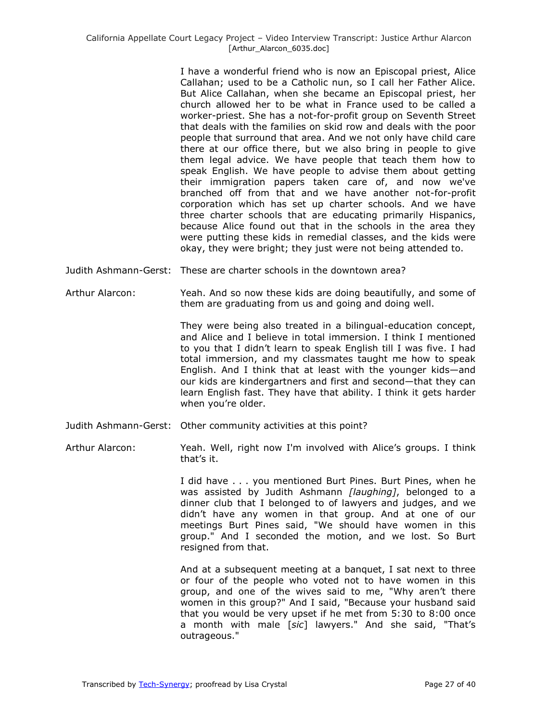I have a wonderful friend who is now an Episcopal priest, Alice Callahan; used to be a Catholic nun, so I call her Father Alice. But Alice Callahan, when she became an Episcopal priest, her church allowed her to be what in France used to be called a worker-priest. She has a not-for-profit group on Seventh Street that deals with the families on skid row and deals with the poor people that surround that area. And we not only have child care there at our office there, but we also bring in people to give them legal advice. We have people that teach them how to speak English. We have people to advise them about getting their immigration papers taken care of, and now we've branched off from that and we have another not-for-profit corporation which has set up charter schools. And we have three charter schools that are educating primarily Hispanics, because Alice found out that in the schools in the area they were putting these kids in remedial classes, and the kids were okay, they were bright; they just were not being attended to.

- Judith Ashmann-Gerst: These are charter schools in the downtown area?
- Arthur Alarcon: Yeah. And so now these kids are doing beautifully, and some of them are graduating from us and going and doing well.

They were being also treated in a bilingual-education concept, and Alice and I believe in total immersion. I think I mentioned to you that I didn't learn to speak English till I was five. I had total immersion, and my classmates taught me how to speak English. And I think that at least with the younger kids—and our kids are kindergartners and first and second—that they can learn English fast. They have that ability. I think it gets harder when you're older.

- Judith Ashmann-Gerst: Other community activities at this point?
- Arthur Alarcon: Yeah. Well, right now I'm involved with Alice's groups. I think that's it.

I did have . . . you mentioned Burt Pines. Burt Pines, when he was assisted by Judith Ashmann *[laughing]*, belonged to a dinner club that I belonged to of lawyers and judges, and we didn't have any women in that group. And at one of our meetings Burt Pines said, "We should have women in this group." And I seconded the motion, and we lost. So Burt resigned from that.

And at a subsequent meeting at a banquet, I sat next to three or four of the people who voted not to have women in this group, and one of the wives said to me, "Why aren't there women in this group?" And I said, "Because your husband said that you would be very upset if he met from 5:30 to 8:00 once a month with male [*sic*] lawyers." And she said, "That's outrageous."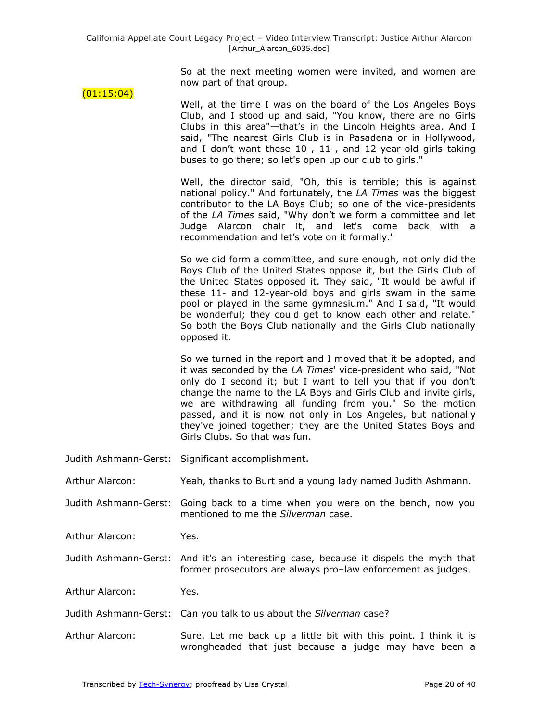So at the next meeting women were invited, and women are now part of that group.

#### (01:15:04)

Well, at the time I was on the board of the Los Angeles Boys Club, and I stood up and said, "You know, there are no Girls Clubs in this area"—that's in the Lincoln Heights area. And I said, "The nearest Girls Club is in Pasadena or in Hollywood, and I don't want these 10-, 11-, and 12-year-old girls taking buses to go there; so let's open up our club to girls."

Well, the director said, "Oh, this is terrible; this is against national policy." And fortunately, the *LA Times* was the biggest contributor to the LA Boys Club; so one of the vice-presidents of the *LA Times* said, "Why don't we form a committee and let Judge Alarcon chair it, and let's come back with a recommendation and let's vote on it formally."

So we did form a committee, and sure enough, not only did the Boys Club of the United States oppose it, but the Girls Club of the United States opposed it. They said, "It would be awful if these 11- and 12-year-old boys and girls swam in the same pool or played in the same gymnasium." And I said, "It would be wonderful; they could get to know each other and relate." So both the Boys Club nationally and the Girls Club nationally opposed it.

So we turned in the report and I moved that it be adopted, and it was seconded by the *LA Times*' vice-president who said, "Not only do I second it; but I want to tell you that if you don't change the name to the LA Boys and Girls Club and invite girls, we are withdrawing all funding from you." So the motion passed, and it is now not only in Los Angeles, but nationally they've joined together; they are the United States Boys and Girls Clubs. So that was fun.

- Judith Ashmann-Gerst: Significant accomplishment.
- Arthur Alarcon: Yeah, thanks to Burt and a young lady named Judith Ashmann.

Judith Ashmann-Gerst: Going back to a time when you were on the bench, now you mentioned to me the *Silverman* case.

Arthur Alarcon: Yes.

Judith Ashmann-Gerst: And it's an interesting case, because it dispels the myth that former prosecutors are always pro–law enforcement as judges.

Arthur Alarcon: Yes.

Judith Ashmann-Gerst: Can you talk to us about the *Silverman* case?

Arthur Alarcon: Sure. Let me back up a little bit with this point. I think it is wrongheaded that just because a judge may have been a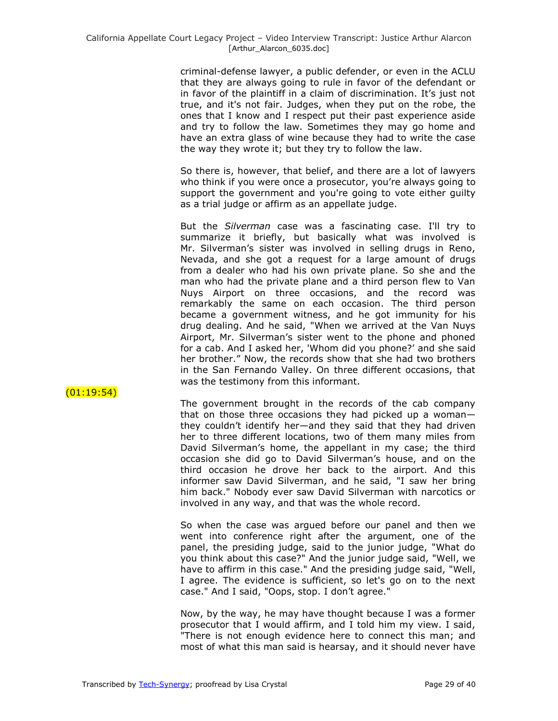criminal-defense lawyer, a public defender, or even in the ACLU that they are always going to rule in favor of the defendant or in favor of the plaintiff in a claim of discrimination. It's just not true, and it's not fair. Judges, when they put on the robe, the ones that I know and I respect put their past experience aside and try to follow the law. Sometimes they may go home and have an extra glass of wine because they had to write the case the way they wrote it; but they try to follow the law.

So there is, however, that belief, and there are a lot of lawyers who think if you were once a prosecutor, you're always going to support the government and you're going to vote either guilty as a trial judge or affirm as an appellate judge.

But the *Silverman* case was a fascinating case. I'll try to summarize it briefly, but basically what was involved is Mr. Silverman's sister was involved in selling drugs in Reno, Nevada, and she got a request for a large amount of drugs from a dealer who had his own private plane. So she and the man who had the private plane and a third person flew to Van Nuys Airport on three occasions, and the record was remarkably the same on each occasion. The third person became a government witness, and he got immunity for his drug dealing. And he said, "When we arrived at the Van Nuys Airport, Mr. Silverman's sister went to the phone and phoned for a cab. And I asked her, 'Whom did you phone?' and she said her brother." Now, the records show that she had two brothers in the San Fernando Valley. On three different occasions, that was the testimony from this informant.

 $(01:19:54)$ 

The government brought in the records of the cab company that on those three occasions they had picked up a woman they couldn't identify her—and they said that they had driven her to three different locations, two of them many miles from David Silverman's home, the appellant in my case; the third occasion she did go to David Silverman's house, and on the third occasion he drove her back to the airport. And this informer saw David Silverman, and he said, "I saw her bring him back." Nobody ever saw David Silverman with narcotics or involved in any way, and that was the whole record.

So when the case was argued before our panel and then we went into conference right after the argument, one of the panel, the presiding judge, said to the junior judge, "What do you think about this case?" And the junior judge said, "Well, we have to affirm in this case." And the presiding judge said, "Well, I agree. The evidence is sufficient, so let's go on to the next case." And I said, "Oops, stop. I don't agree."

Now, by the way, he may have thought because I was a former prosecutor that I would affirm, and I told him my view. I said, "There is not enough evidence here to connect this man; and most of what this man said is hearsay, and it should never have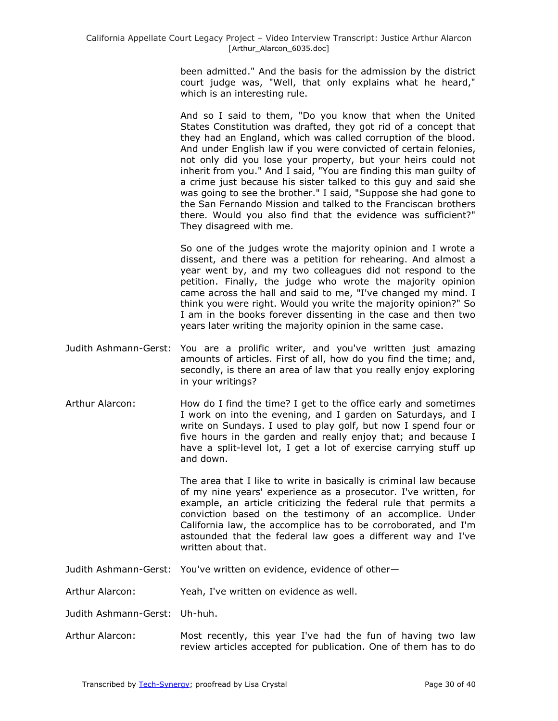been admitted." And the basis for the admission by the district court judge was, "Well, that only explains what he heard," which is an interesting rule.

And so I said to them, "Do you know that when the United States Constitution was drafted, they got rid of a concept that they had an England, which was called corruption of the blood. And under English law if you were convicted of certain felonies, not only did you lose your property, but your heirs could not inherit from you." And I said, "You are finding this man guilty of a crime just because his sister talked to this guy and said she was going to see the brother." I said, "Suppose she had gone to the San Fernando Mission and talked to the Franciscan brothers there. Would you also find that the evidence was sufficient?" They disagreed with me.

So one of the judges wrote the majority opinion and I wrote a dissent, and there was a petition for rehearing. And almost a year went by, and my two colleagues did not respond to the petition. Finally, the judge who wrote the majority opinion came across the hall and said to me, "I've changed my mind. I think you were right. Would you write the majority opinion?" So I am in the books forever dissenting in the case and then two years later writing the majority opinion in the same case.

- Judith Ashmann-Gerst: You are a prolific writer, and you've written just amazing amounts of articles. First of all, how do you find the time; and, secondly, is there an area of law that you really enjoy exploring in your writings?
- Arthur Alarcon: How do I find the time? I get to the office early and sometimes I work on into the evening, and I garden on Saturdays, and I write on Sundays. I used to play golf, but now I spend four or five hours in the garden and really enjoy that; and because I have a split-level lot, I get a lot of exercise carrying stuff up and down.

The area that I like to write in basically is criminal law because of my nine years' experience as a prosecutor. I've written, for example, an article criticizing the federal rule that permits a conviction based on the testimony of an accomplice. Under California law, the accomplice has to be corroborated, and I'm astounded that the federal law goes a different way and I've written about that.

Judith Ashmann-Gerst: You've written on evidence, evidence of other—

Arthur Alarcon: Yeah, I've written on evidence as well.

Judith Ashmann-Gerst: Uh-huh.

Arthur Alarcon: Most recently, this year I've had the fun of having two law review articles accepted for publication. One of them has to do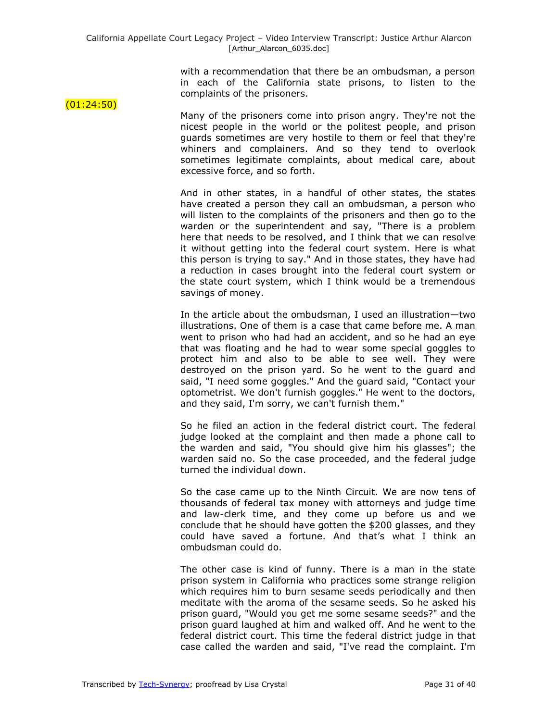with a recommendation that there be an ombudsman, a person in each of the California state prisons, to listen to the complaints of the prisoners.

 $(01:24:50)$ 

Many of the prisoners come into prison angry. They're not the nicest people in the world or the politest people, and prison guards sometimes are very hostile to them or feel that they're whiners and complainers. And so they tend to overlook sometimes legitimate complaints, about medical care, about excessive force, and so forth.

And in other states, in a handful of other states, the states have created a person they call an ombudsman, a person who will listen to the complaints of the prisoners and then go to the warden or the superintendent and say, "There is a problem here that needs to be resolved, and I think that we can resolve it without getting into the federal court system. Here is what this person is trying to say." And in those states, they have had a reduction in cases brought into the federal court system or the state court system, which I think would be a tremendous savings of money.

In the article about the ombudsman, I used an illustration—two illustrations. One of them is a case that came before me. A man went to prison who had had an accident, and so he had an eye that was floating and he had to wear some special goggles to protect him and also to be able to see well. They were destroyed on the prison yard. So he went to the guard and said, "I need some goggles." And the guard said, "Contact your optometrist. We don't furnish goggles." He went to the doctors, and they said, I'm sorry, we can't furnish them."

So he filed an action in the federal district court. The federal judge looked at the complaint and then made a phone call to the warden and said, "You should give him his glasses"; the warden said no. So the case proceeded, and the federal judge turned the individual down.

So the case came up to the Ninth Circuit. We are now tens of thousands of federal tax money with attorneys and judge time and law-clerk time, and they come up before us and we conclude that he should have gotten the \$200 glasses, and they could have saved a fortune. And that's what I think an ombudsman could do.

The other case is kind of funny. There is a man in the state prison system in California who practices some strange religion which requires him to burn sesame seeds periodically and then meditate with the aroma of the sesame seeds. So he asked his prison guard, "Would you get me some sesame seeds?" and the prison guard laughed at him and walked off. And he went to the federal district court. This time the federal district judge in that case called the warden and said, "I've read the complaint. I'm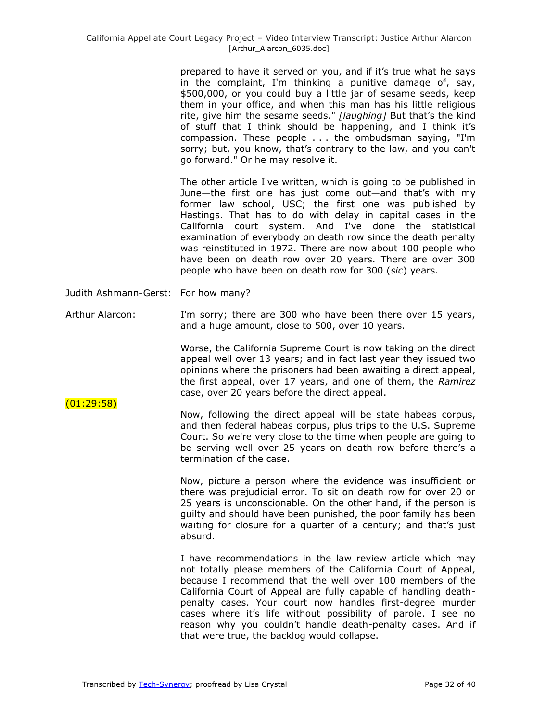prepared to have it served on you, and if it's true what he says in the complaint, I'm thinking a punitive damage of, say, \$500,000, or you could buy a little jar of sesame seeds, keep them in your office, and when this man has his little religious rite, give him the sesame seeds." *[laughing]* But that's the kind of stuff that I think should be happening, and I think it's compassion. These people . . . the ombudsman saying, "I'm sorry; but, you know, that's contrary to the law, and you can't go forward." Or he may resolve it.

The other article I've written, which is going to be published in June—the first one has just come out—and that's with my former law school, USC; the first one was published by Hastings. That has to do with delay in capital cases in the California court system. And I've done the statistical examination of everybody on death row since the death penalty was reinstituted in 1972. There are now about 100 people who have been on death row over 20 years. There are over 300 people who have been on death row for 300 (*sic*) years.

Judith Ashmann-Gerst: For how many?

Arthur Alarcon: I'm sorry; there are 300 who have been there over 15 years, and a huge amount, close to 500, over 10 years.

> Worse, the California Supreme Court is now taking on the direct appeal well over 13 years; and in fact last year they issued two opinions where the prisoners had been awaiting a direct appeal, the first appeal, over 17 years, and one of them, the *Ramirez* case, over 20 years before the direct appeal.

## (01:29:58)

Now, following the direct appeal will be state habeas corpus, and then federal habeas corpus, plus trips to the U.S. Supreme Court. So we're very close to the time when people are going to be serving well over 25 years on death row before there's a termination of the case.

Now, picture a person where the evidence was insufficient or there was prejudicial error. To sit on death row for over 20 or 25 years is unconscionable. On the other hand, if the person is guilty and should have been punished, the poor family has been waiting for closure for a quarter of a century; and that's just absurd.

I have recommendations in the law review article which may not totally please members of the California Court of Appeal, because I recommend that the well over 100 members of the California Court of Appeal are fully capable of handling deathpenalty cases. Your court now handles first-degree murder cases where it's life without possibility of parole. I see no reason why you couldn't handle death-penalty cases. And if that were true, the backlog would collapse.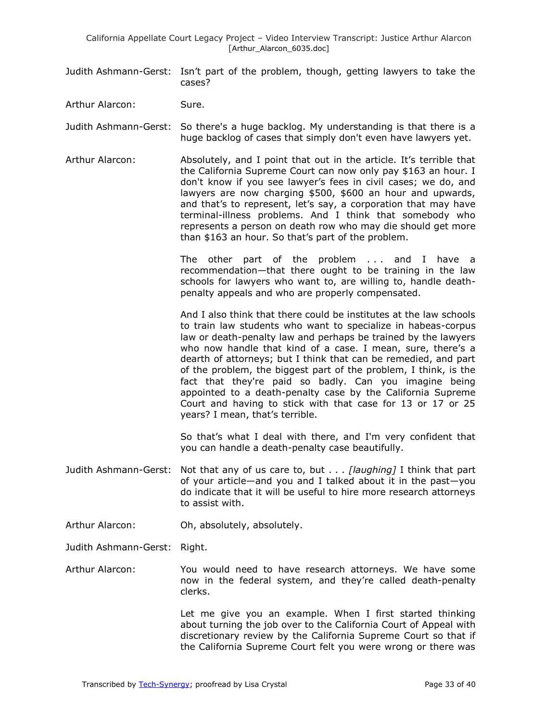- Judith Ashmann-Gerst: Isn't part of the problem, though, getting lawyers to take the cases?
- Arthur Alarcon: Sure.
- Judith Ashmann-Gerst: So there's a huge backlog. My understanding is that there is a huge backlog of cases that simply don't even have lawyers yet.
- Arthur Alarcon: Absolutely, and I point that out in the article. It's terrible that the California Supreme Court can now only pay \$163 an hour. I don't know if you see lawyer's fees in civil cases; we do, and lawyers are now charging \$500, \$600 an hour and upwards, and that's to represent, let's say, a corporation that may have terminal-illness problems. And I think that somebody who represents a person on death row who may die should get more than \$163 an hour. So that's part of the problem.

The other part of the problem . . . and I have a recommendation—that there ought to be training in the law schools for lawyers who want to, are willing to, handle deathpenalty appeals and who are properly compensated.

And I also think that there could be institutes at the law schools to train law students who want to specialize in habeas-corpus law or death-penalty law and perhaps be trained by the lawyers who now handle that kind of a case. I mean, sure, there's a dearth of attorneys; but I think that can be remedied, and part of the problem, the biggest part of the problem, I think, is the fact that they're paid so badly. Can you imagine being appointed to a death-penalty case by the California Supreme Court and having to stick with that case for 13 or 17 or 25 years? I mean, that's terrible.

So that's what I deal with there, and I'm very confident that you can handle a death-penalty case beautifully.

- Judith Ashmann-Gerst: Not that any of us care to, but . . . *[laughing]* I think that part of your article—and you and I talked about it in the past—you do indicate that it will be useful to hire more research attorneys to assist with.
- Arthur Alarcon: Oh, absolutely, absolutely.
- Judith Ashmann-Gerst: Right.
- Arthur Alarcon: You would need to have research attorneys. We have some now in the federal system, and they're called death-penalty clerks.

Let me give you an example. When I first started thinking about turning the job over to the California Court of Appeal with discretionary review by the California Supreme Court so that if the California Supreme Court felt you were wrong or there was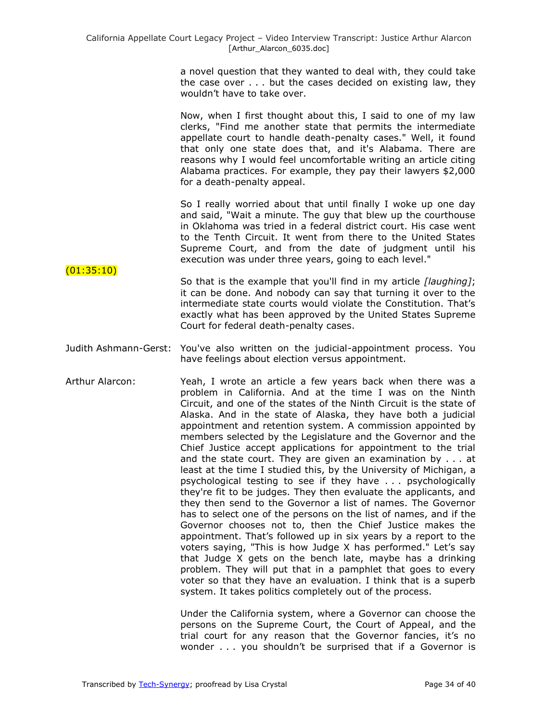a novel question that they wanted to deal with, they could take the case over . . . but the cases decided on existing law, they wouldn't have to take over.

Now, when I first thought about this, I said to one of my law clerks, "Find me another state that permits the intermediate appellate court to handle death-penalty cases." Well, it found that only one state does that, and it's Alabama. There are reasons why I would feel uncomfortable writing an article citing Alabama practices. For example, they pay their lawyers \$2,000 for a death-penalty appeal.

So I really worried about that until finally I woke up one day and said, "Wait a minute. The guy that blew up the courthouse in Oklahoma was tried in a federal district court. His case went to the Tenth Circuit. It went from there to the United States Supreme Court, and from the date of judgment until his execution was under three years, going to each level."

- $(01:35:10)$ So that is the example that you'll find in my article *[laughing]*; it can be done. And nobody can say that turning it over to the intermediate state courts would violate the Constitution. That's exactly what has been approved by the United States Supreme Court for federal death-penalty cases.
- Judith Ashmann-Gerst: You've also written on the judicial-appointment process. You have feelings about election versus appointment.
- Arthur Alarcon: Yeah, I wrote an article a few years back when there was a problem in California. And at the time I was on the Ninth Circuit, and one of the states of the Ninth Circuit is the state of Alaska. And in the state of Alaska, they have both a judicial appointment and retention system. A commission appointed by members selected by the Legislature and the Governor and the Chief Justice accept applications for appointment to the trial and the state court. They are given an examination by . . . at least at the time I studied this, by the University of Michigan, a psychological testing to see if they have . . . psychologically they're fit to be judges. They then evaluate the applicants, and they then send to the Governor a list of names. The Governor has to select one of the persons on the list of names, and if the Governor chooses not to, then the Chief Justice makes the appointment. That's followed up in six years by a report to the voters saying, "This is how Judge X has performed." Let's say that Judge X gets on the bench late, maybe has a drinking problem. They will put that in a pamphlet that goes to every voter so that they have an evaluation. I think that is a superb system. It takes politics completely out of the process.

Under the California system, where a Governor can choose the persons on the Supreme Court, the Court of Appeal, and the trial court for any reason that the Governor fancies, it's no wonder . . . you shouldn't be surprised that if a Governor is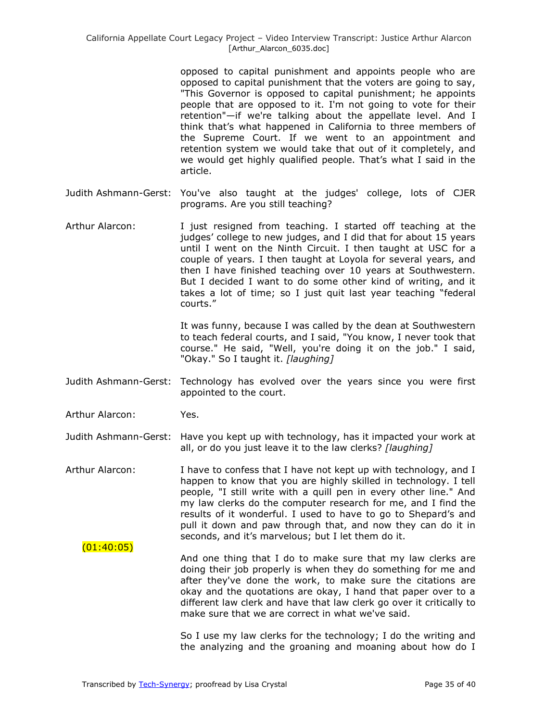opposed to capital punishment and appoints people who are opposed to capital punishment that the voters are going to say, "This Governor is opposed to capital punishment; he appoints people that are opposed to it. I'm not going to vote for their retention"—if we're talking about the appellate level. And I think that's what happened in California to three members of the Supreme Court. If we went to an appointment and retention system we would take that out of it completely, and we would get highly qualified people. That's what I said in the article.

- Judith Ashmann-Gerst: You've also taught at the judges' college, lots of CJER programs. Are you still teaching?
- Arthur Alarcon: I just resigned from teaching. I started off teaching at the judges' college to new judges, and I did that for about 15 years until I went on the Ninth Circuit. I then taught at USC for a couple of years. I then taught at Loyola for several years, and then I have finished teaching over 10 years at Southwestern. But I decided I want to do some other kind of writing, and it takes a lot of time; so I just quit last year teaching "federal courts.‖

It was funny, because I was called by the dean at Southwestern to teach federal courts, and I said, "You know, I never took that course." He said, "Well, you're doing it on the job." I said, "Okay." So I taught it. *[laughing]*

Judith Ashmann-Gerst: Technology has evolved over the years since you were first appointed to the court.

Arthur Alarcon: Yes.

- Judith Ashmann-Gerst: Have you kept up with technology, has it impacted your work at all, or do you just leave it to the law clerks? *[laughing]*
- Arthur Alarcon: I have to confess that I have not kept up with technology, and I happen to know that you are highly skilled in technology. I tell people, "I still write with a quill pen in every other line." And my law clerks do the computer research for me, and I find the results of it wonderful. I used to have to go to Shepard's and pull it down and paw through that, and now they can do it in seconds, and it's marvelous; but I let them do it.

### $(01:40:05)$ And one thing that I do to make sure that my law clerks are doing their job properly is when they do something for me and after they've done the work, to make sure the citations are okay and the quotations are okay, I hand that paper over to a different law clerk and have that law clerk go over it critically to make sure that we are correct in what we've said.

So I use my law clerks for the technology; I do the writing and the analyzing and the groaning and moaning about how do I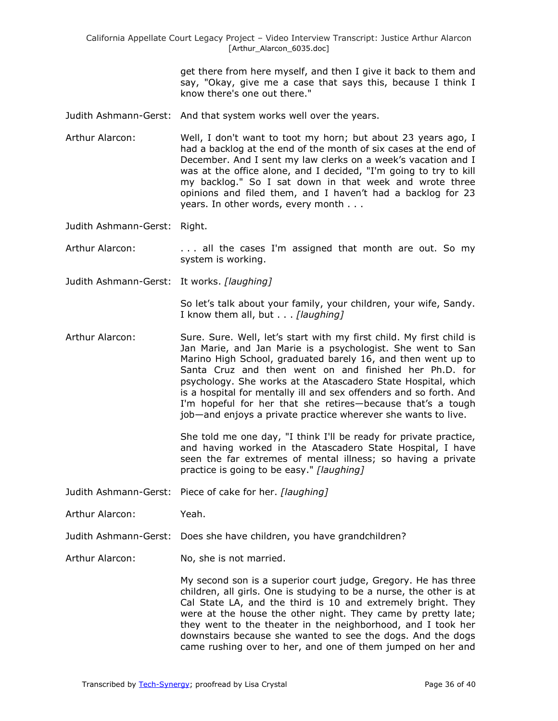get there from here myself, and then I give it back to them and say, "Okay, give me a case that says this, because I think I know there's one out there."

- Judith Ashmann-Gerst: And that system works well over the years.
- Arthur Alarcon: Well, I don't want to toot my horn; but about 23 years ago, I had a backlog at the end of the month of six cases at the end of December. And I sent my law clerks on a week's vacation and I was at the office alone, and I decided, "I'm going to try to kill my backlog." So I sat down in that week and wrote three opinions and filed them, and I haven't had a backlog for 23 years. In other words, every month . . .

Judith Ashmann-Gerst: Right.

- Arthur Alarcon: ... all the cases I'm assigned that month are out. So my system is working.
- Judith Ashmann-Gerst: It works. *[laughing]*

So let's talk about your family, your children, your wife, Sandy. I know them all, but . . . *[laughing]*

Arthur Alarcon: Sure. Sure. Well, let's start with my first child. My first child is Jan Marie, and Jan Marie is a psychologist. She went to San Marino High School, graduated barely 16, and then went up to Santa Cruz and then went on and finished her Ph.D. for psychology. She works at the Atascadero State Hospital, which is a hospital for mentally ill and sex offenders and so forth. And I'm hopeful for her that she retires—because that's a tough job—and enjoys a private practice wherever she wants to live.

> She told me one day, "I think I'll be ready for private practice, and having worked in the Atascadero State Hospital, I have seen the far extremes of mental illness; so having a private practice is going to be easy." *[laughing]*

- Judith Ashmann-Gerst: Piece of cake for her. *[laughing]*
- Arthur Alarcon: Yeah.
- Judith Ashmann-Gerst: Does she have children, you have grandchildren?
- Arthur Alarcon: No, she is not married.

My second son is a superior court judge, Gregory. He has three children, all girls. One is studying to be a nurse, the other is at Cal State LA, and the third is 10 and extremely bright. They were at the house the other night. They came by pretty late; they went to the theater in the neighborhood, and I took her downstairs because she wanted to see the dogs. And the dogs came rushing over to her, and one of them jumped on her and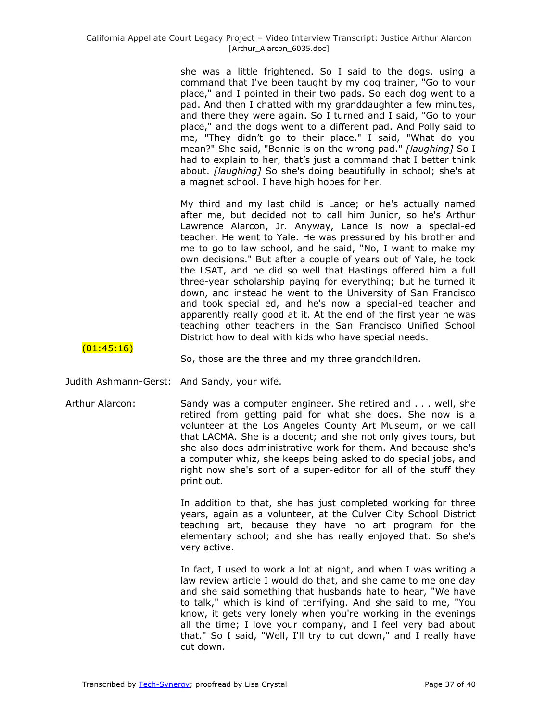she was a little frightened. So I said to the dogs, using a command that I've been taught by my dog trainer, "Go to your place," and I pointed in their two pads. So each dog went to a pad. And then I chatted with my granddaughter a few minutes, and there they were again. So I turned and I said, "Go to your place," and the dogs went to a different pad. And Polly said to me, "They didn't go to their place." I said, "What do you mean?" She said, "Bonnie is on the wrong pad." [laughing] So I had to explain to her, that's just a command that I better think about. *[laughing]* So she's doing beautifully in school; she's at a magnet school. I have high hopes for her.

My third and my last child is Lance; or he's actually named after me, but decided not to call him Junior, so he's Arthur Lawrence Alarcon, Jr. Anyway, Lance is now a special-ed teacher. He went to Yale. He was pressured by his brother and me to go to law school, and he said, "No, I want to make my own decisions." But after a couple of years out of Yale, he took the LSAT, and he did so well that Hastings offered him a full three-year scholarship paying for everything; but he turned it down, and instead he went to the University of San Francisco and took special ed, and he's now a special-ed teacher and apparently really good at it. At the end of the first year he was teaching other teachers in the San Francisco Unified School District how to deal with kids who have special needs.

# $(01:45:16)$

So, those are the three and my three grandchildren.

- Judith Ashmann-Gerst: And Sandy, your wife.
- Arthur Alarcon: Sandy was a computer engineer. She retired and . . . well, she retired from getting paid for what she does. She now is a volunteer at the Los Angeles County Art Museum, or we call that LACMA. She is a docent; and she not only gives tours, but she also does administrative work for them. And because she's a computer whiz, she keeps being asked to do special jobs, and right now she's sort of a super-editor for all of the stuff they print out.

In addition to that, she has just completed working for three years, again as a volunteer, at the Culver City School District teaching art, because they have no art program for the elementary school; and she has really enjoyed that. So she's very active.

In fact, I used to work a lot at night, and when I was writing a law review article I would do that, and she came to me one day and she said something that husbands hate to hear, "We have to talk," which is kind of terrifying. And she said to me, "You know, it gets very lonely when you're working in the evenings all the time; I love your company, and I feel very bad about that." So I said, "Well, I'll try to cut down," and I really have cut down.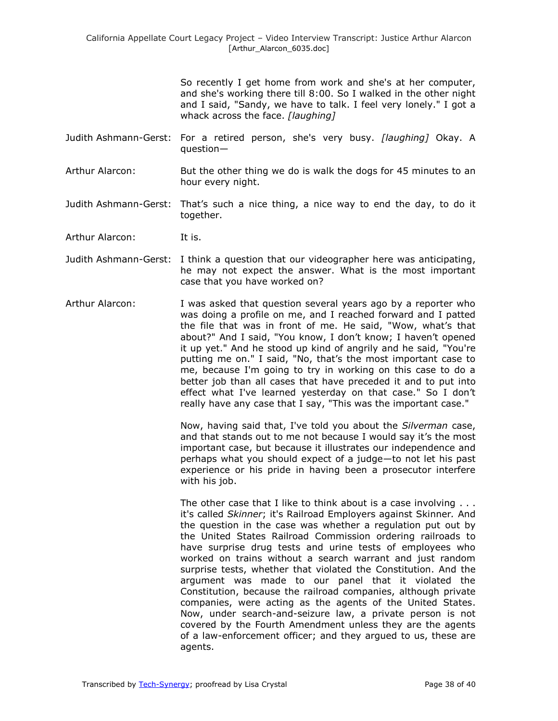So recently I get home from work and she's at her computer, and she's working there till 8:00. So I walked in the other night and I said, "Sandy, we have to talk. I feel very lonely." I got a whack across the face. *[laughing]*

- Judith Ashmann-Gerst: For a retired person, she's very busy. *[laughing]* Okay. A question—
- Arthur Alarcon: But the other thing we do is walk the dogs for 45 minutes to an hour every night.
- Judith Ashmann-Gerst: That's such a nice thing, a nice way to end the day, to do it together.
- Arthur Alarcon: It is.
- Judith Ashmann-Gerst: I think a question that our videographer here was anticipating, he may not expect the answer. What is the most important case that you have worked on?
- Arthur Alarcon: I was asked that question several years ago by a reporter who was doing a profile on me, and I reached forward and I patted the file that was in front of me. He said, "Wow, what's that about?" And I said, "You know, I don't know; I haven't opened it up yet." And he stood up kind of angrily and he said, "You're putting me on." I said, "No, that's the most important case to me, because I'm going to try in working on this case to do a better job than all cases that have preceded it and to put into effect what I've learned yesterday on that case." So I don't really have any case that I say, "This was the important case."

Now, having said that, I've told you about the *Silverman* case, and that stands out to me not because I would say it's the most important case, but because it illustrates our independence and perhaps what you should expect of a judge—to not let his past experience or his pride in having been a prosecutor interfere with his job.

The other case that I like to think about is a case involving . . . it's called *Skinner*; it's Railroad Employers against Skinner*.* And the question in the case was whether a regulation put out by the United States Railroad Commission ordering railroads to have surprise drug tests and urine tests of employees who worked on trains without a search warrant and just random surprise tests, whether that violated the Constitution. And the argument was made to our panel that it violated the Constitution, because the railroad companies, although private companies, were acting as the agents of the United States. Now, under search-and-seizure law, a private person is not covered by the Fourth Amendment unless they are the agents of a law-enforcement officer; and they argued to us, these are agents.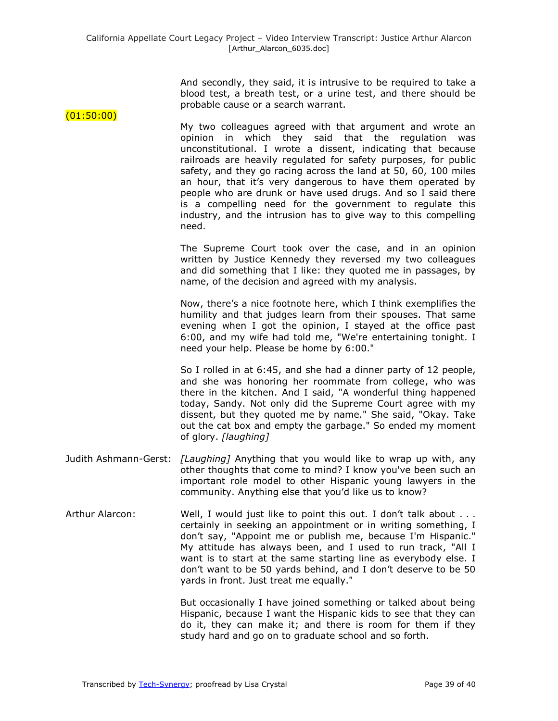And secondly, they said, it is intrusive to be required to take a blood test, a breath test, or a urine test, and there should be probable cause or a search warrant.

My two colleagues agreed with that argument and wrote an opinion in which they said that the regulation was unconstitutional. I wrote a dissent, indicating that because railroads are heavily regulated for safety purposes, for public safety, and they go racing across the land at 50, 60, 100 miles an hour, that it's very dangerous to have them operated by people who are drunk or have used drugs. And so I said there is a compelling need for the government to regulate this industry, and the intrusion has to give way to this compelling need.

The Supreme Court took over the case, and in an opinion written by Justice Kennedy they reversed my two colleagues and did something that I like: they quoted me in passages, by name, of the decision and agreed with my analysis.

Now, there's a nice footnote here, which I think exemplifies the humility and that judges learn from their spouses. That same evening when I got the opinion, I stayed at the office past 6:00, and my wife had told me, "We're entertaining tonight. I need your help. Please be home by 6:00."

So I rolled in at 6:45, and she had a dinner party of 12 people, and she was honoring her roommate from college, who was there in the kitchen. And I said, "A wonderful thing happened today, Sandy. Not only did the Supreme Court agree with my dissent, but they quoted me by name." She said, "Okay. Take out the cat box and empty the garbage." So ended my moment of glory. *[laughing]*

- Judith Ashmann-Gerst: *[Laughing]* Anything that you would like to wrap up with, any other thoughts that come to mind? I know you've been such an important role model to other Hispanic young lawyers in the community. Anything else that you'd like us to know?
- Arthur Alarcon: Well, I would just like to point this out. I don't talk about ... certainly in seeking an appointment or in writing something, I don't say, "Appoint me or publish me, because I'm Hispanic." My attitude has always been, and I used to run track, "All I want is to start at the same starting line as everybody else. I don't want to be 50 yards behind, and I don't deserve to be 50 yards in front. Just treat me equally."

But occasionally I have joined something or talked about being Hispanic, because I want the Hispanic kids to see that they can do it, they can make it; and there is room for them if they study hard and go on to graduate school and so forth.